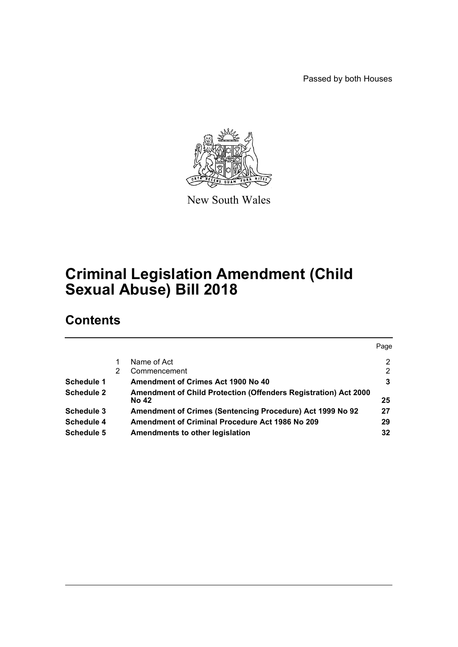Passed by both Houses



New South Wales

# **Criminal Legislation Amendment (Child Sexual Abuse) Bill 2018**

# **Contents**

|                   |   |                                                                                        | Page |
|-------------------|---|----------------------------------------------------------------------------------------|------|
|                   |   | Name of Act                                                                            | 2    |
|                   | 2 | Commencement                                                                           | 2    |
| Schedule 1        |   | Amendment of Crimes Act 1900 No 40                                                     | 3    |
| <b>Schedule 2</b> |   | <b>Amendment of Child Protection (Offenders Registration) Act 2000</b><br><b>No 42</b> | 25   |
| Schedule 3        |   | Amendment of Crimes (Sentencing Procedure) Act 1999 No 92                              | 27   |
| Schedule 4        |   | <b>Amendment of Criminal Procedure Act 1986 No 209</b>                                 | 29   |
| <b>Schedule 5</b> |   | Amendments to other legislation                                                        | 32   |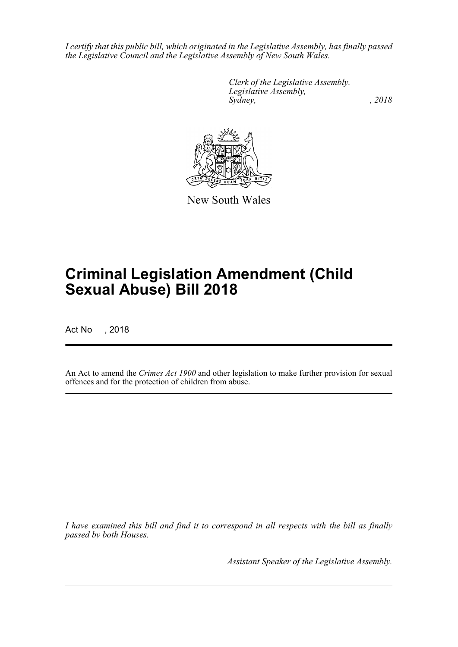*I certify that this public bill, which originated in the Legislative Assembly, has finally passed the Legislative Council and the Legislative Assembly of New South Wales.*

> *Clerk of the Legislative Assembly. Legislative Assembly, Sydney, , 2018*



New South Wales

# **Criminal Legislation Amendment (Child Sexual Abuse) Bill 2018**

Act No , 2018

An Act to amend the *Crimes Act 1900* and other legislation to make further provision for sexual offences and for the protection of children from abuse.

*I have examined this bill and find it to correspond in all respects with the bill as finally passed by both Houses.*

*Assistant Speaker of the Legislative Assembly.*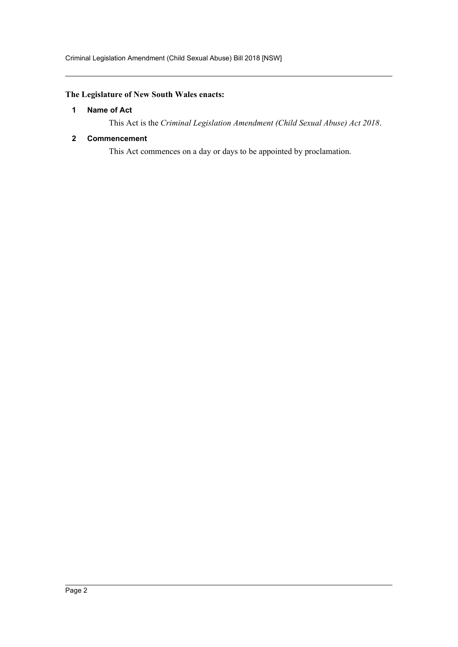# <span id="page-2-0"></span>**The Legislature of New South Wales enacts:**

### **1 Name of Act**

This Act is the *Criminal Legislation Amendment (Child Sexual Abuse) Act 2018*.

### <span id="page-2-1"></span>**2 Commencement**

This Act commences on a day or days to be appointed by proclamation.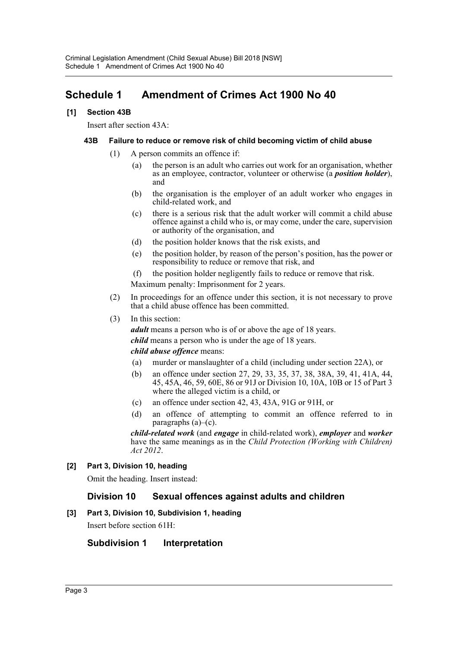# <span id="page-3-0"></span>**Schedule 1 Amendment of Crimes Act 1900 No 40**

# **[1] Section 43B**

Insert after section 43A:

### **43B Failure to reduce or remove risk of child becoming victim of child abuse**

- (1) A person commits an offence if:
	- (a) the person is an adult who carries out work for an organisation, whether as an employee, contractor, volunteer or otherwise (a *position holder*), and
	- (b) the organisation is the employer of an adult worker who engages in child-related work, and
	- (c) there is a serious risk that the adult worker will commit a child abuse offence against a child who is, or may come, under the care, supervision or authority of the organisation, and
	- (d) the position holder knows that the risk exists, and
	- (e) the position holder, by reason of the person's position, has the power or responsibility to reduce or remove that risk, and
	- (f) the position holder negligently fails to reduce or remove that risk.

Maximum penalty: Imprisonment for 2 years.

- (2) In proceedings for an offence under this section, it is not necessary to prove that a child abuse offence has been committed.
- (3) In this section:

*adult* means a person who is of or above the age of 18 years. *child* means a person who is under the age of 18 years.

### *child abuse offence* means:

- (a) murder or manslaughter of a child (including under section 22A), or
- (b) an offence under section 27, 29, 33, 35, 37, 38, 38A, 39, 41, 41A, 44, 45, 45A, 46, 59, 60E, 86 or 91J or Division 10, 10A, 10B or 15 of Part 3 where the alleged victim is a child, or
- (c) an offence under section 42, 43, 43A, 91G or 91H, or
- (d) an offence of attempting to commit an offence referred to in paragraphs  $(a)$ – $(c)$ .

*child-related work* (and *engage* in child-related work), *employer* and *worker* have the same meanings as in the *Child Protection (Working with Children) Act 2012*.

# **[2] Part 3, Division 10, heading**

Omit the heading. Insert instead:

# **Division 10 Sexual offences against adults and children**

# **[3] Part 3, Division 10, Subdivision 1, heading**

Insert before section 61H:

# **Subdivision 1 Interpretation**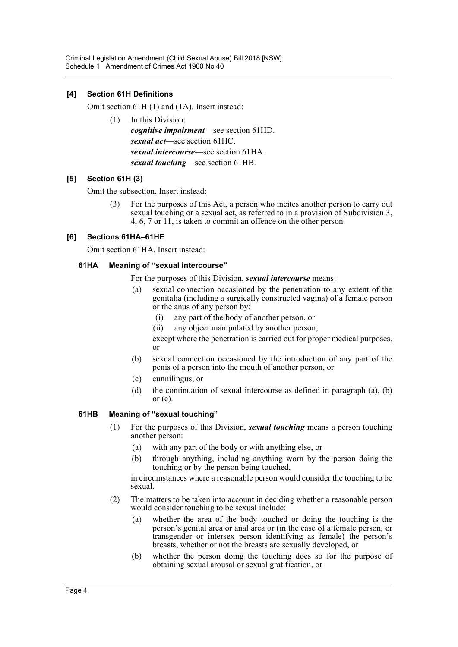### **[4] Section 61H Definitions**

Omit section 61H (1) and (1A). Insert instead:

(1) In this Division: *cognitive impairment*—see section 61HD. *sexual act*—see section 61HC. *sexual intercourse*—see section 61HA. *sexual touching*—see section 61HB.

### **[5] Section 61H (3)**

Omit the subsection. Insert instead:

(3) For the purposes of this Act, a person who incites another person to carry out sexual touching or a sexual act, as referred to in a provision of Subdivision 3, 4, 6, 7 or 11, is taken to commit an offence on the other person.

### **[6] Sections 61HA–61HE**

Omit section 61HA. Insert instead:

### **61HA Meaning of "sexual intercourse"**

For the purposes of this Division, *sexual intercourse* means:

- (a) sexual connection occasioned by the penetration to any extent of the genitalia (including a surgically constructed vagina) of a female person or the anus of any person by:
	- (i) any part of the body of another person, or
	- (ii) any object manipulated by another person,

except where the penetration is carried out for proper medical purposes, or

- (b) sexual connection occasioned by the introduction of any part of the penis of a person into the mouth of another person, or
- (c) cunnilingus, or
- (d) the continuation of sexual intercourse as defined in paragraph (a), (b) or (c).

### **61HB Meaning of "sexual touching"**

- (1) For the purposes of this Division, *sexual touching* means a person touching another person:
	- (a) with any part of the body or with anything else, or
	- (b) through anything, including anything worn by the person doing the touching or by the person being touched,

in circumstances where a reasonable person would consider the touching to be sexual.

- (2) The matters to be taken into account in deciding whether a reasonable person would consider touching to be sexual include:
	- (a) whether the area of the body touched or doing the touching is the person's genital area or anal area or (in the case of a female person, or transgender or intersex person identifying as female) the person's breasts, whether or not the breasts are sexually developed, or
	- (b) whether the person doing the touching does so for the purpose of obtaining sexual arousal or sexual gratification, or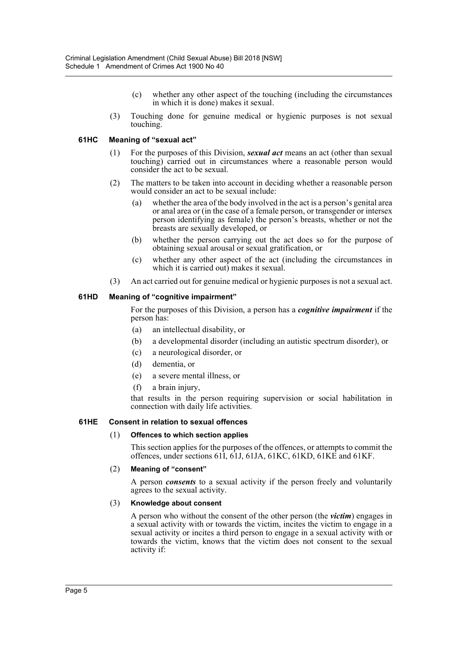- (c) whether any other aspect of the touching (including the circumstances in which it is done) makes it sexual.
- (3) Touching done for genuine medical or hygienic purposes is not sexual touching.

### **61HC Meaning of "sexual act"**

- (1) For the purposes of this Division, *sexual act* means an act (other than sexual touching) carried out in circumstances where a reasonable person would consider the act to be sexual.
- (2) The matters to be taken into account in deciding whether a reasonable person would consider an act to be sexual include:
	- (a) whether the area of the body involved in the act is a person's genital area or anal area or (in the case of a female person, or transgender or intersex person identifying as female) the person's breasts, whether or not the breasts are sexually developed, or
	- (b) whether the person carrying out the act does so for the purpose of obtaining sexual arousal or sexual gratification, or
	- (c) whether any other aspect of the act (including the circumstances in which it is carried out) makes it sexual.
- (3) An act carried out for genuine medical or hygienic purposes is not a sexual act.

### **61HD Meaning of "cognitive impairment"**

For the purposes of this Division, a person has a *cognitive impairment* if the person has:

- (a) an intellectual disability, or
- (b) a developmental disorder (including an autistic spectrum disorder), or
- (c) a neurological disorder, or
- (d) dementia, or
- (e) a severe mental illness, or
- (f) a brain injury,

that results in the person requiring supervision or social habilitation in connection with daily life activities.

### **61HE Consent in relation to sexual offences**

### (1) **Offences to which section applies**

This section applies for the purposes of the offences, or attempts to commit the offences, under sections 61I, 61J, 61JA, 61KC, 61KD, 61KE and 61KF.

### (2) **Meaning of "consent"**

A person *consents* to a sexual activity if the person freely and voluntarily agrees to the sexual activity.

### (3) **Knowledge about consent**

A person who without the consent of the other person (the *victim*) engages in a sexual activity with or towards the victim, incites the victim to engage in a sexual activity or incites a third person to engage in a sexual activity with or towards the victim, knows that the victim does not consent to the sexual activity if: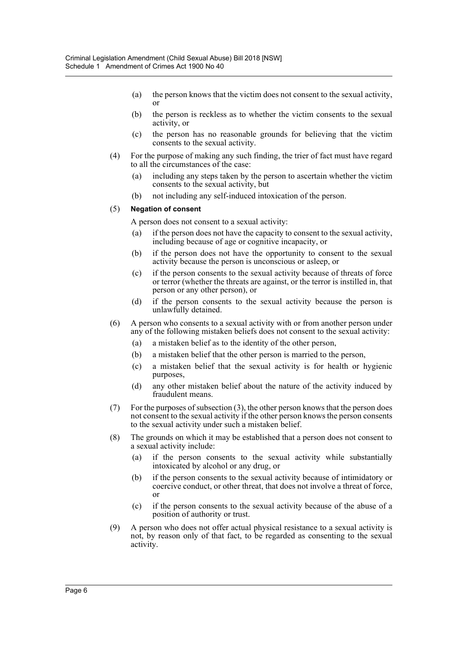- (a) the person knows that the victim does not consent to the sexual activity, or
- (b) the person is reckless as to whether the victim consents to the sexual activity, or
- (c) the person has no reasonable grounds for believing that the victim consents to the sexual activity.
- (4) For the purpose of making any such finding, the trier of fact must have regard to all the circumstances of the case:
	- (a) including any steps taken by the person to ascertain whether the victim consents to the sexual activity, but
	- (b) not including any self-induced intoxication of the person.

#### (5) **Negation of consent**

A person does not consent to a sexual activity:

- (a) if the person does not have the capacity to consent to the sexual activity, including because of age or cognitive incapacity, or
- (b) if the person does not have the opportunity to consent to the sexual activity because the person is unconscious or asleep, or
- (c) if the person consents to the sexual activity because of threats of force or terror (whether the threats are against, or the terror is instilled in, that person or any other person), or
- (d) if the person consents to the sexual activity because the person is unlawfully detained.
- (6) A person who consents to a sexual activity with or from another person under any of the following mistaken beliefs does not consent to the sexual activity:
	- (a) a mistaken belief as to the identity of the other person,
	- (b) a mistaken belief that the other person is married to the person,
	- (c) a mistaken belief that the sexual activity is for health or hygienic purposes,
	- (d) any other mistaken belief about the nature of the activity induced by fraudulent means.
- (7) For the purposes of subsection (3), the other person knows that the person does not consent to the sexual activity if the other person knows the person consents to the sexual activity under such a mistaken belief.
- (8) The grounds on which it may be established that a person does not consent to a sexual activity include:
	- (a) if the person consents to the sexual activity while substantially intoxicated by alcohol or any drug, or
	- (b) if the person consents to the sexual activity because of intimidatory or coercive conduct, or other threat, that does not involve a threat of force, or
	- (c) if the person consents to the sexual activity because of the abuse of a position of authority or trust.
- (9) A person who does not offer actual physical resistance to a sexual activity is not, by reason only of that fact, to be regarded as consenting to the sexual activity.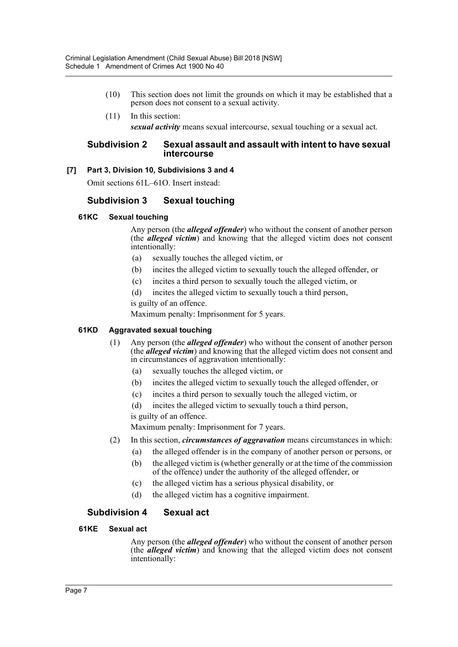- (10) This section does not limit the grounds on which it may be established that a person does not consent to a sexual activity.
- (11) In this section: *sexual activity* means sexual intercourse, sexual touching or a sexual act.

### **Subdivision 2 Sexual assault and assault with intent to have sexual intercourse**

### **[7] Part 3, Division 10, Subdivisions 3 and 4**

Omit sections 61L–61O. Insert instead:

# **Subdivision 3 Sexual touching**

### **61KC Sexual touching**

Any person (the *alleged offender*) who without the consent of another person (the *alleged victim*) and knowing that the alleged victim does not consent intentionally:

- (a) sexually touches the alleged victim, or
- (b) incites the alleged victim to sexually touch the alleged offender, or
- (c) incites a third person to sexually touch the alleged victim, or
- (d) incites the alleged victim to sexually touch a third person, is guilty of an offence.

Maximum penalty: Imprisonment for 5 years.

# **61KD Aggravated sexual touching**

- (1) Any person (the *alleged offender*) who without the consent of another person (the *alleged victim*) and knowing that the alleged victim does not consent and in circumstances of aggravation intentionally:
	- (a) sexually touches the alleged victim, or
	- (b) incites the alleged victim to sexually touch the alleged offender, or
	- (c) incites a third person to sexually touch the alleged victim, or
	- (d) incites the alleged victim to sexually touch a third person,

is guilty of an offence.

Maximum penalty: Imprisonment for 7 years.

- (2) In this section, *circumstances of aggravation* means circumstances in which:
	- (a) the alleged offender is in the company of another person or persons, or
	- (b) the alleged victim is (whether generally or at the time of the commission of the offence) under the authority of the alleged offender, or
	- (c) the alleged victim has a serious physical disability, or
	- (d) the alleged victim has a cognitive impairment.

# **Subdivision 4 Sexual act**

### **61KE Sexual act**

Any person (the *alleged offender*) who without the consent of another person (the *alleged victim*) and knowing that the alleged victim does not consent intentionally: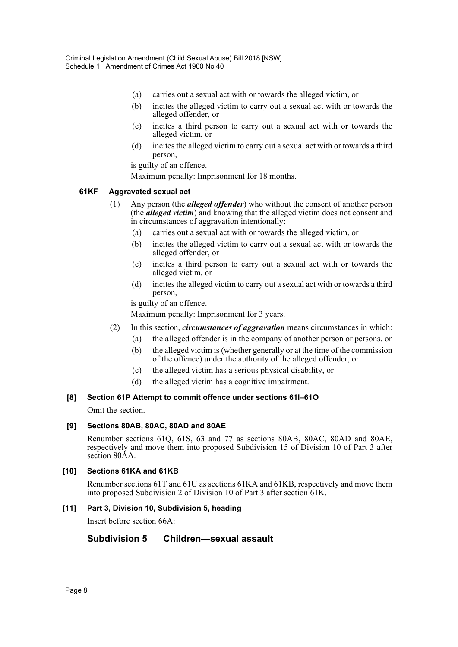- (a) carries out a sexual act with or towards the alleged victim, or
- (b) incites the alleged victim to carry out a sexual act with or towards the alleged offender, or
- (c) incites a third person to carry out a sexual act with or towards the alleged victim, or
- (d) incites the alleged victim to carry out a sexual act with or towards a third person,

is guilty of an offence.

Maximum penalty: Imprisonment for 18 months.

# **61KF Aggravated sexual act**

- (1) Any person (the *alleged offender*) who without the consent of another person (the *alleged victim*) and knowing that the alleged victim does not consent and in circumstances of aggravation intentionally:
	- (a) carries out a sexual act with or towards the alleged victim, or
	- (b) incites the alleged victim to carry out a sexual act with or towards the alleged offender, or
	- (c) incites a third person to carry out a sexual act with or towards the alleged victim, or
	- (d) incites the alleged victim to carry out a sexual act with or towards a third person,

is guilty of an offence.

Maximum penalty: Imprisonment for 3 years.

- (2) In this section, *circumstances of aggravation* means circumstances in which:
	- (a) the alleged offender is in the company of another person or persons, or
	- (b) the alleged victim is (whether generally or at the time of the commission of the offence) under the authority of the alleged offender, or
	- (c) the alleged victim has a serious physical disability, or
	- (d) the alleged victim has a cognitive impairment.

# **[8] Section 61P Attempt to commit offence under sections 61I–61O**

Omit the section.

# **[9] Sections 80AB, 80AC, 80AD and 80AE**

Renumber sections 61Q, 61S, 63 and 77 as sections 80AB, 80AC, 80AD and 80AE, respectively and move them into proposed Subdivision 15 of Division 10 of Part 3 after section 80AA.

### **[10] Sections 61KA and 61KB**

Renumber sections 61T and 61U as sections 61KA and 61KB, respectively and move them into proposed Subdivision 2 of Division 10 of Part 3 after section 61K.

# **[11] Part 3, Division 10, Subdivision 5, heading**

Insert before section 66A:

# **Subdivision 5 Children—sexual assault**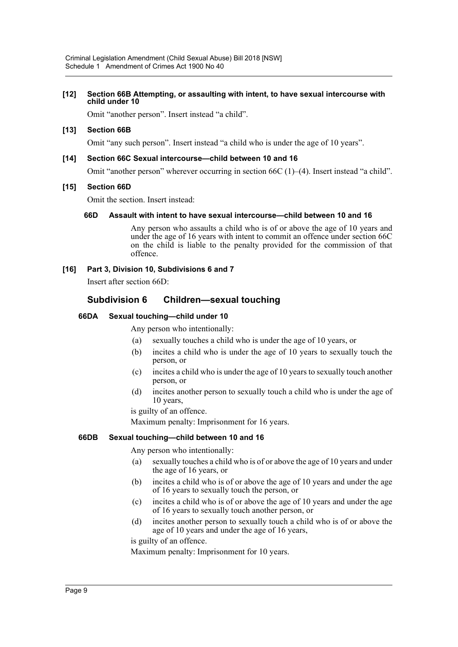#### **[12] Section 66B Attempting, or assaulting with intent, to have sexual intercourse with child under 10**

Omit "another person". Insert instead "a child".

### **[13] Section 66B**

Omit "any such person". Insert instead "a child who is under the age of 10 years".

### **[14] Section 66C Sexual intercourse—child between 10 and 16**

Omit "another person" wherever occurring in section 66C (1)–(4). Insert instead "a child".

### **[15] Section 66D**

Omit the section. Insert instead:

### **66D Assault with intent to have sexual intercourse—child between 10 and 16**

Any person who assaults a child who is of or above the age of 10 years and under the age of 16 years with intent to commit an offence under section 66C on the child is liable to the penalty provided for the commission of that offence.

### **[16] Part 3, Division 10, Subdivisions 6 and 7**

Insert after section 66D:

# **Subdivision 6 Children—sexual touching**

### **66DA Sexual touching—child under 10**

Any person who intentionally:

- (a) sexually touches a child who is under the age of 10 years, or
- (b) incites a child who is under the age of 10 years to sexually touch the person, or
- (c) incites a child who is under the age of 10 years to sexually touch another person, or
- (d) incites another person to sexually touch a child who is under the age of 10 years,

is guilty of an offence.

Maximum penalty: Imprisonment for 16 years.

### **66DB Sexual touching—child between 10 and 16**

Any person who intentionally:

- (a) sexually touches a child who is of or above the age of 10 years and under the age of 16 years, or
- (b) incites a child who is of or above the age of 10 years and under the age of 16 years to sexually touch the person, or
- (c) incites a child who is of or above the age of 10 years and under the age of 16 years to sexually touch another person, or
- (d) incites another person to sexually touch a child who is of or above the age of 10 years and under the age of 16 years,

is guilty of an offence.

Maximum penalty: Imprisonment for 10 years.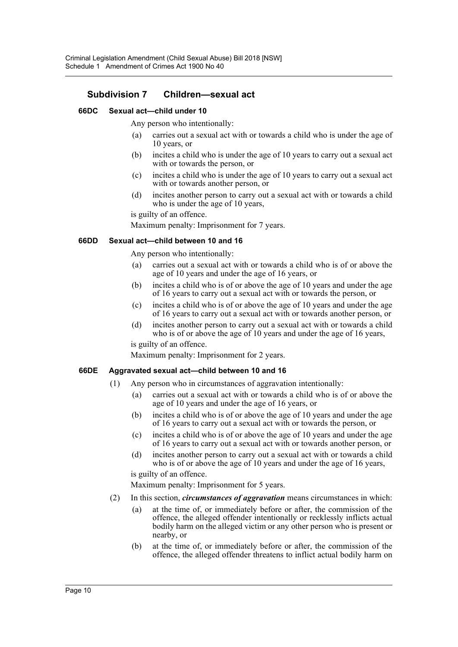# **Subdivision 7 Children—sexual act**

### **66DC Sexual act—child under 10**

Any person who intentionally:

- (a) carries out a sexual act with or towards a child who is under the age of 10 years, or
- (b) incites a child who is under the age of 10 years to carry out a sexual act with or towards the person, or
- (c) incites a child who is under the age of 10 years to carry out a sexual act with or towards another person, or
- (d) incites another person to carry out a sexual act with or towards a child who is under the age of 10 years,

is guilty of an offence.

Maximum penalty: Imprisonment for 7 years.

### **66DD Sexual act—child between 10 and 16**

Any person who intentionally:

- (a) carries out a sexual act with or towards a child who is of or above the age of 10 years and under the age of 16 years, or
- (b) incites a child who is of or above the age of 10 years and under the age of 16 years to carry out a sexual act with or towards the person, or
- (c) incites a child who is of or above the age of 10 years and under the age of 16 years to carry out a sexual act with or towards another person, or
- (d) incites another person to carry out a sexual act with or towards a child who is of or above the age of 10 years and under the age of 16 years,

is guilty of an offence.

Maximum penalty: Imprisonment for 2 years.

### **66DE Aggravated sexual act—child between 10 and 16**

- (1) Any person who in circumstances of aggravation intentionally:
	- (a) carries out a sexual act with or towards a child who is of or above the age of 10 years and under the age of 16 years, or
	- (b) incites a child who is of or above the age of 10 years and under the age of 16 years to carry out a sexual act with or towards the person, or
	- (c) incites a child who is of or above the age of 10 years and under the age of 16 years to carry out a sexual act with or towards another person, or
	- (d) incites another person to carry out a sexual act with or towards a child who is of or above the age of 10 years and under the age of 16 years,

is guilty of an offence.

Maximum penalty: Imprisonment for 5 years.

- (2) In this section, *circumstances of aggravation* means circumstances in which:
	- (a) at the time of, or immediately before or after, the commission of the offence, the alleged offender intentionally or recklessly inflicts actual bodily harm on the alleged victim or any other person who is present or nearby, or
	- (b) at the time of, or immediately before or after, the commission of the offence, the alleged offender threatens to inflict actual bodily harm on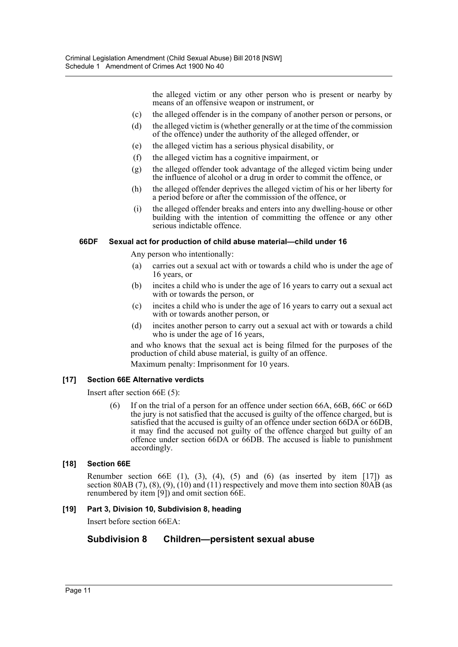the alleged victim or any other person who is present or nearby by means of an offensive weapon or instrument, or

- (c) the alleged offender is in the company of another person or persons, or
- (d) the alleged victim is (whether generally or at the time of the commission of the offence) under the authority of the alleged offender, or
- (e) the alleged victim has a serious physical disability, or
- (f) the alleged victim has a cognitive impairment, or
- (g) the alleged offender took advantage of the alleged victim being under the influence of alcohol or a drug in order to commit the offence, or
- (h) the alleged offender deprives the alleged victim of his or her liberty for a period before or after the commission of the offence, or
- (i) the alleged offender breaks and enters into any dwelling-house or other building with the intention of committing the offence or any other serious indictable offence.

### **66DF Sexual act for production of child abuse material—child under 16**

Any person who intentionally:

- (a) carries out a sexual act with or towards a child who is under the age of 16 years, or
- (b) incites a child who is under the age of 16 years to carry out a sexual act with or towards the person, or
- (c) incites a child who is under the age of 16 years to carry out a sexual act with or towards another person, or
- (d) incites another person to carry out a sexual act with or towards a child who is under the age of 16 years,

and who knows that the sexual act is being filmed for the purposes of the production of child abuse material, is guilty of an offence.

Maximum penalty: Imprisonment for 10 years.

# **[17] Section 66E Alternative verdicts**

Insert after section 66E (5):

(6) If on the trial of a person for an offence under section 66A, 66B, 66C or 66D the jury is not satisfied that the accused is guilty of the offence charged, but is satisfied that the accused is guilty of an offence under section 66DA or 66DB, it may find the accused not guilty of the offence charged but guilty of an offence under section 66DA or 66DB. The accused is liable to punishment accordingly.

# **[18] Section 66E**

Renumber section  $66E(1)$ ,  $(3)$ ,  $(4)$ ,  $(5)$  and  $(6)$  (as inserted by item [17]) as section 80AB  $(7)$ ,  $(8)$ ,  $(9)$ ,  $(10)$  and  $(11)$  respectively and move them into section 80AB (as renumbered by item [9]) and omit section 66E.

# **[19] Part 3, Division 10, Subdivision 8, heading**

Insert before section 66EA:

# **Subdivision 8 Children—persistent sexual abuse**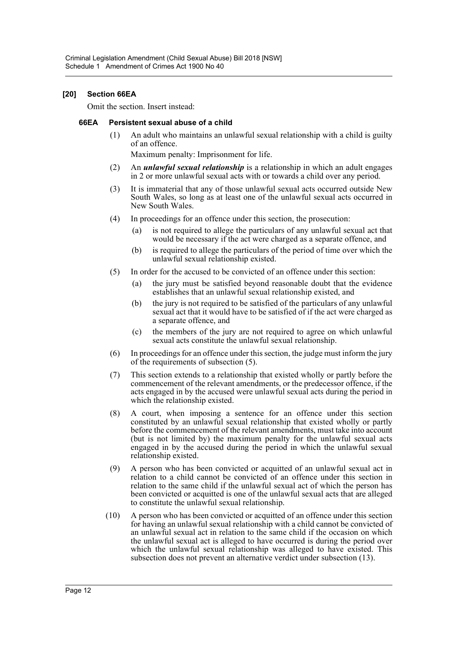### **[20] Section 66EA**

Omit the section. Insert instead:

### **66EA Persistent sexual abuse of a child**

(1) An adult who maintains an unlawful sexual relationship with a child is guilty of an offence.

Maximum penalty: Imprisonment for life.

- (2) An *unlawful sexual relationship* is a relationship in which an adult engages in 2 or more unlawful sexual acts with or towards a child over any period.
- (3) It is immaterial that any of those unlawful sexual acts occurred outside New South Wales, so long as at least one of the unlawful sexual acts occurred in New South Wales.
- (4) In proceedings for an offence under this section, the prosecution:
	- is not required to allege the particulars of any unlawful sexual act that would be necessary if the act were charged as a separate offence, and
	- (b) is required to allege the particulars of the period of time over which the unlawful sexual relationship existed.
- (5) In order for the accused to be convicted of an offence under this section:
	- (a) the jury must be satisfied beyond reasonable doubt that the evidence establishes that an unlawful sexual relationship existed, and
	- (b) the jury is not required to be satisfied of the particulars of any unlawful sexual act that it would have to be satisfied of if the act were charged as a separate offence, and
	- (c) the members of the jury are not required to agree on which unlawful sexual acts constitute the unlawful sexual relationship.
- (6) In proceedings for an offence under this section, the judge must inform the jury of the requirements of subsection (5).
- (7) This section extends to a relationship that existed wholly or partly before the commencement of the relevant amendments, or the predecessor offence, if the acts engaged in by the accused were unlawful sexual acts during the period in which the relationship existed.
- (8) A court, when imposing a sentence for an offence under this section constituted by an unlawful sexual relationship that existed wholly or partly before the commencement of the relevant amendments, must take into account (but is not limited by) the maximum penalty for the unlawful sexual acts engaged in by the accused during the period in which the unlawful sexual relationship existed.
- (9) A person who has been convicted or acquitted of an unlawful sexual act in relation to a child cannot be convicted of an offence under this section in relation to the same child if the unlawful sexual act of which the person has been convicted or acquitted is one of the unlawful sexual acts that are alleged to constitute the unlawful sexual relationship.
- (10) A person who has been convicted or acquitted of an offence under this section for having an unlawful sexual relationship with a child cannot be convicted of an unlawful sexual act in relation to the same child if the occasion on which the unlawful sexual act is alleged to have occurred is during the period over which the unlawful sexual relationship was alleged to have existed. This subsection does not prevent an alternative verdict under subsection (13).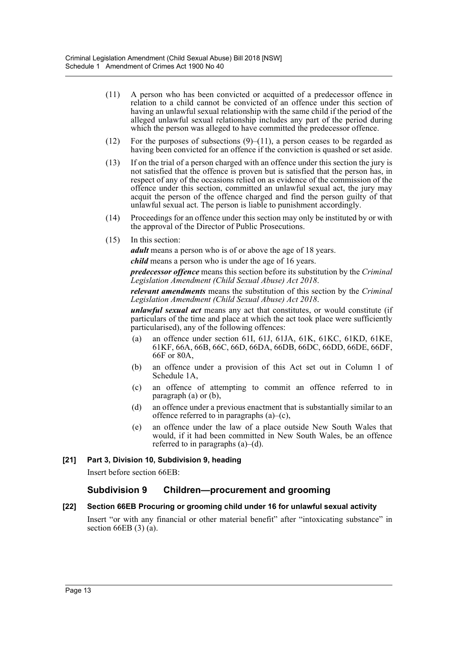- (11) A person who has been convicted or acquitted of a predecessor offence in relation to a child cannot be convicted of an offence under this section of having an unlawful sexual relationship with the same child if the period of the alleged unlawful sexual relationship includes any part of the period during which the person was alleged to have committed the predecessor offence.
- (12) For the purposes of subsections  $(9)$ –(11), a person ceases to be regarded as having been convicted for an offence if the conviction is quashed or set aside.
- (13) If on the trial of a person charged with an offence under this section the jury is not satisfied that the offence is proven but is satisfied that the person has, in respect of any of the occasions relied on as evidence of the commission of the offence under this section, committed an unlawful sexual act, the jury may acquit the person of the offence charged and find the person guilty of that unlawful sexual act. The person is liable to punishment accordingly.
- (14) Proceedings for an offence under this section may only be instituted by or with the approval of the Director of Public Prosecutions.
- (15) In this section:

*adult* means a person who is of or above the age of 18 years.

*child* means a person who is under the age of 16 years.

*predecessor offence* means this section before its substitution by the *Criminal Legislation Amendment (Child Sexual Abuse) Act 2018*.

*relevant amendments* means the substitution of this section by the *Criminal Legislation Amendment (Child Sexual Abuse) Act 2018*.

*unlawful sexual act* means any act that constitutes, or would constitute (if particulars of the time and place at which the act took place were sufficiently particularised), any of the following offences:

- (a) an offence under section 61I, 61J, 61JA, 61K, 61KC, 61KD, 61KE, 61KF, 66A, 66B, 66C, 66D, 66DA, 66DB, 66DC, 66DD, 66DE, 66DF, 66F or 80A,
- (b) an offence under a provision of this Act set out in Column 1 of Schedule 1A,
- (c) an offence of attempting to commit an offence referred to in paragraph (a) or (b),
- (d) an offence under a previous enactment that is substantially similar to an offence referred to in paragraphs  $(a)$ – $(c)$ ,
- (e) an offence under the law of a place outside New South Wales that would, if it had been committed in New South Wales, be an offence referred to in paragraphs  $(a)$ – $(d)$ .

### **[21] Part 3, Division 10, Subdivision 9, heading**

Insert before section 66EB:

# **Subdivision 9 Children—procurement and grooming**

### **[22] Section 66EB Procuring or grooming child under 16 for unlawful sexual activity**

Insert "or with any financial or other material benefit" after "intoxicating substance" in section 66EB (3) (a).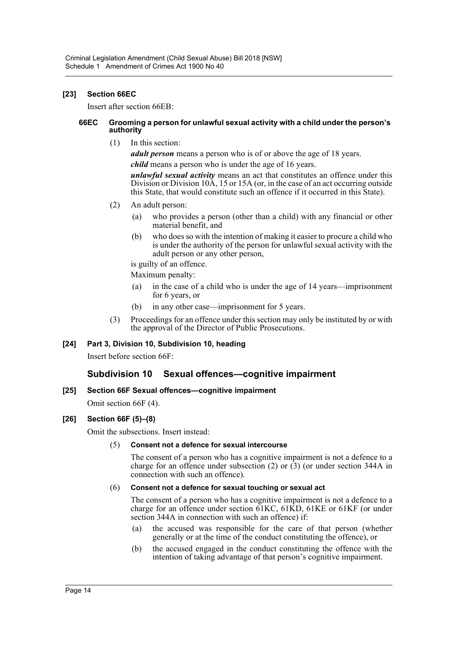### **[23] Section 66EC**

Insert after section 66EB:

#### **66EC Grooming a person for unlawful sexual activity with a child under the person's authority**

(1) In this section:

*adult person* means a person who is of or above the age of 18 years.

*child* means a person who is under the age of 16 years.

*unlawful sexual activity* means an act that constitutes an offence under this Division or Division 10A, 15 or 15A (or, in the case of an act occurring outside this State, that would constitute such an offence if it occurred in this State).

- (2) An adult person:
	- (a) who provides a person (other than a child) with any financial or other material benefit, and
	- (b) who does so with the intention of making it easier to procure a child who is under the authority of the person for unlawful sexual activity with the adult person or any other person,

is guilty of an offence.

Maximum penalty:

- (a) in the case of a child who is under the age of 14 years—imprisonment for 6 years, or
- (b) in any other case—imprisonment for 5 years.
- (3) Proceedings for an offence under this section may only be instituted by or with the approval of the Director of Public Prosecutions.

### **[24] Part 3, Division 10, Subdivision 10, heading**

Insert before section 66F:

# **Subdivision 10 Sexual offences—cognitive impairment**

### **[25] Section 66F Sexual offences—cognitive impairment**

Omit section 66F (4).

### **[26] Section 66F (5)–(8)**

Omit the subsections. Insert instead:

### (5) **Consent not a defence for sexual intercourse**

The consent of a person who has a cognitive impairment is not a defence to a charge for an offence under subsection  $(2)$  or  $(3)$  (or under section 344A in connection with such an offence).

### (6) **Consent not a defence for sexual touching or sexual act**

The consent of a person who has a cognitive impairment is not a defence to a charge for an offence under section 61KC, 61KD, 61KE or 61KF (or under section 344A in connection with such an offence) if:

- (a) the accused was responsible for the care of that person (whether generally or at the time of the conduct constituting the offence), or
- (b) the accused engaged in the conduct constituting the offence with the intention of taking advantage of that person's cognitive impairment.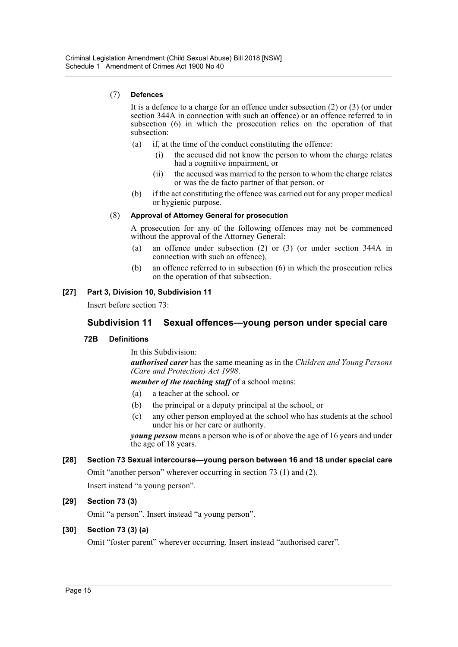### (7) **Defences**

It is a defence to a charge for an offence under subsection (2) or (3) (or under section 344A in connection with such an offence) or an offence referred to in subsection (6) in which the prosecution relies on the operation of that subsection:

- (a) if, at the time of the conduct constituting the offence:
	- (i) the accused did not know the person to whom the charge relates had a cognitive impairment, or
	- (ii) the accused was married to the person to whom the charge relates or was the de facto partner of that person, or
- (b) if the act constituting the offence was carried out for any proper medical or hygienic purpose.

### (8) **Approval of Attorney General for prosecution**

A prosecution for any of the following offences may not be commenced without the approval of the Attorney General:

- (a) an offence under subsection (2) or (3) (or under section 344A in connection with such an offence),
- (b) an offence referred to in subsection (6) in which the prosecution relies on the operation of that subsection.

# **[27] Part 3, Division 10, Subdivision 11**

Insert before section 73:

# **Subdivision 11 Sexual offences—young person under special care**

### **72B Definitions**

In this Subdivision:

*authorised carer* has the same meaning as in the *Children and Young Persons (Care and Protection) Act 1998*.

*member of the teaching staff* of a school means:

- (a) a teacher at the school, or
- (b) the principal or a deputy principal at the school, or
- (c) any other person employed at the school who has students at the school under his or her care or authority.

*young person* means a person who is of or above the age of 16 years and under the age of 18 years.

### **[28] Section 73 Sexual intercourse—young person between 16 and 18 under special care**

Omit "another person" wherever occurring in section 73 (1) and (2).

Insert instead "a young person".

### **[29] Section 73 (3)**

Omit "a person". Insert instead "a young person".

### **[30] Section 73 (3) (a)**

Omit "foster parent" wherever occurring. Insert instead "authorised carer".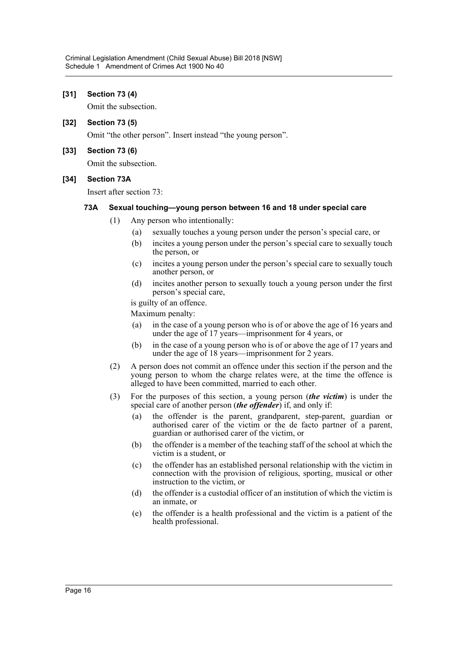### **[31] Section 73 (4)**

Omit the subsection.

**[32] Section 73 (5)**

Omit "the other person". Insert instead "the young person".

### **[33] Section 73 (6)**

Omit the subsection.

### **[34] Section 73A**

Insert after section 73:

#### **73A Sexual touching—young person between 16 and 18 under special care**

- (1) Any person who intentionally:
	- (a) sexually touches a young person under the person's special care, or
	- (b) incites a young person under the person's special care to sexually touch the person, or
	- (c) incites a young person under the person's special care to sexually touch another person, or
	- (d) incites another person to sexually touch a young person under the first person's special care,

is guilty of an offence.

Maximum penalty:

- (a) in the case of a young person who is of or above the age of 16 years and under the age of 17 years—imprisonment for 4 years, or
- (b) in the case of a young person who is of or above the age of 17 years and under the age of 18 years—imprisonment for 2 years.
- (2) A person does not commit an offence under this section if the person and the young person to whom the charge relates were, at the time the offence is alleged to have been committed, married to each other.
- (3) For the purposes of this section, a young person (*the victim*) is under the special care of another person (*the offender*) if, and only if:
	- (a) the offender is the parent, grandparent, step-parent, guardian or authorised carer of the victim or the de facto partner of a parent, guardian or authorised carer of the victim, or
	- (b) the offender is a member of the teaching staff of the school at which the victim is a student, or
	- (c) the offender has an established personal relationship with the victim in connection with the provision of religious, sporting, musical or other instruction to the victim, or
	- (d) the offender is a custodial officer of an institution of which the victim is an inmate, or
	- (e) the offender is a health professional and the victim is a patient of the health professional.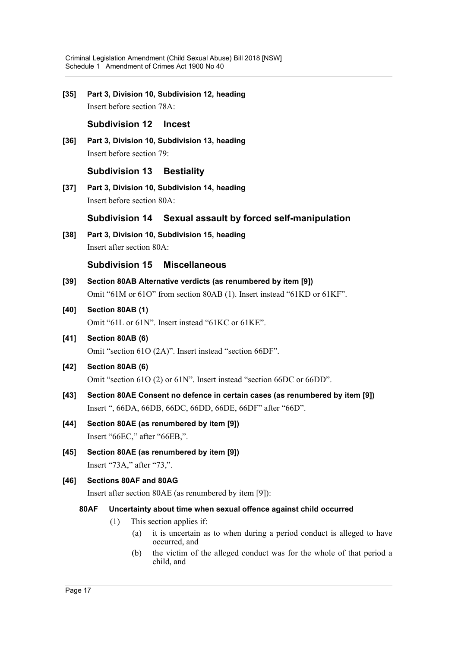**[35] Part 3, Division 10, Subdivision 12, heading** Insert before section 78A:

# **Subdivision 12 Incest**

**[36] Part 3, Division 10, Subdivision 13, heading** Insert before section 79:

# **Subdivision 13 Bestiality**

**[37] Part 3, Division 10, Subdivision 14, heading** Insert before section 80A:

# **Subdivision 14 Sexual assault by forced self-manipulation**

**[38] Part 3, Division 10, Subdivision 15, heading** Insert after section 80A:

# **Subdivision 15 Miscellaneous**

- **[39] Section 80AB Alternative verdicts (as renumbered by item [9])** Omit "61M or 61O" from section 80AB (1). Insert instead "61KD or 61KF".
- **[40] Section 80AB (1)**

Omit "61L or 61N". Insert instead "61KC or 61KE".

**[41] Section 80AB (6)** Omit "section 61O (2A)". Insert instead "section 66DF".

# **[42] Section 80AB (6)**

Omit "section 61O (2) or 61N". Insert instead "section 66DC or 66DD".

- **[43] Section 80AE Consent no defence in certain cases (as renumbered by item [9])** Insert ", 66DA, 66DB, 66DC, 66DD, 66DE, 66DF" after "66D".
- **[44] Section 80AE (as renumbered by item [9])** Insert "66EC," after "66EB,".
- **[45] Section 80AE (as renumbered by item [9])** Insert "73A," after "73,".

# **[46] Sections 80AF and 80AG**

Insert after section 80AE (as renumbered by item [9]):

### **80AF Uncertainty about time when sexual offence against child occurred**

- (1) This section applies if:
	- (a) it is uncertain as to when during a period conduct is alleged to have occurred, and
	- (b) the victim of the alleged conduct was for the whole of that period a child, and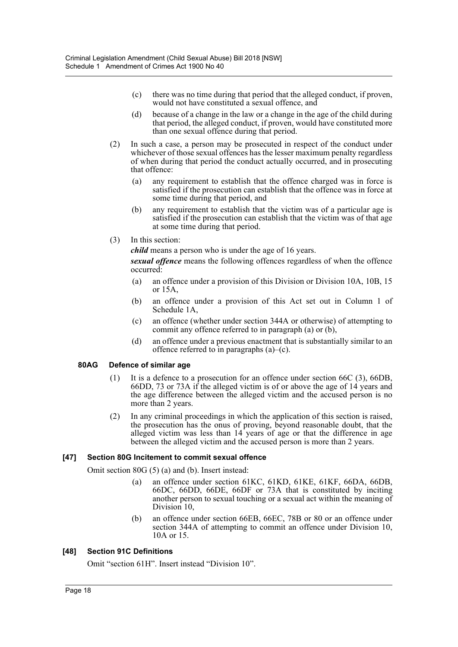- (c) there was no time during that period that the alleged conduct, if proven, would not have constituted a sexual offence, and
- (d) because of a change in the law or a change in the age of the child during that period, the alleged conduct, if proven, would have constituted more than one sexual offence during that period.
- (2) In such a case, a person may be prosecuted in respect of the conduct under whichever of those sexual offences has the lesser maximum penalty regardless of when during that period the conduct actually occurred, and in prosecuting that offence:
	- (a) any requirement to establish that the offence charged was in force is satisfied if the prosecution can establish that the offence was in force at some time during that period, and
	- (b) any requirement to establish that the victim was of a particular age is satisfied if the prosecution can establish that the victim was of that age at some time during that period.
- (3) In this section:

*child* means a person who is under the age of 16 years.

*sexual offence* means the following offences regardless of when the offence occurred:

- (a) an offence under a provision of this Division or Division 10A, 10B, 15 or 15A,
- (b) an offence under a provision of this Act set out in Column 1 of Schedule 1A,
- (c) an offence (whether under section 344A or otherwise) of attempting to commit any offence referred to in paragraph (a) or (b),
- (d) an offence under a previous enactment that is substantially similar to an offence referred to in paragraphs  $(a)$ – $(c)$ .

### **80AG Defence of similar age**

- (1) It is a defence to a prosecution for an offence under section 66C (3), 66DB, 66DD, 73 or 73A if the alleged victim is of or above the age of 14 years and the age difference between the alleged victim and the accused person is no more than 2 years.
- (2) In any criminal proceedings in which the application of this section is raised, the prosecution has the onus of proving, beyond reasonable doubt, that the alleged victim was less than 14 years of age or that the difference in age between the alleged victim and the accused person is more than 2 years.

### **[47] Section 80G Incitement to commit sexual offence**

Omit section 80G (5) (a) and (b). Insert instead:

- (a) an offence under section 61KC, 61KD, 61KE, 61KF, 66DA, 66DB, 66DC, 66DD, 66DE, 66DF or 73A that is constituted by inciting another person to sexual touching or a sexual act within the meaning of Division 10,
- (b) an offence under section 66EB, 66EC, 78B or 80 or an offence under section 344A of attempting to commit an offence under Division 10, 10A or 15.

# **[48] Section 91C Definitions**

Omit "section 61H". Insert instead "Division 10".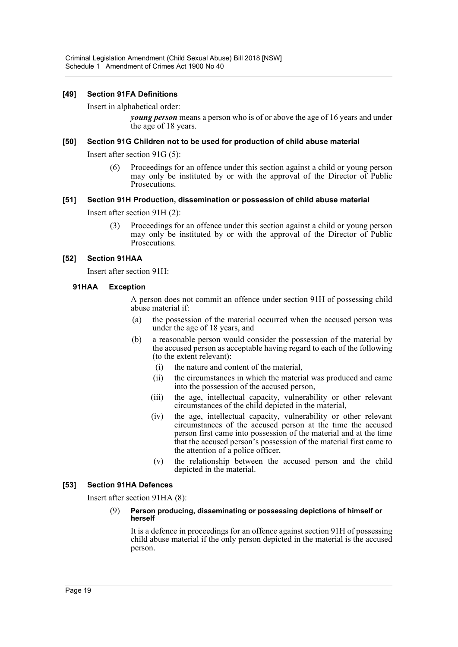### **[49] Section 91FA Definitions**

Insert in alphabetical order:

*young person* means a person who is of or above the age of 16 years and under the age of 18 years.

### **[50] Section 91G Children not to be used for production of child abuse material**

Insert after section 91G (5):

(6) Proceedings for an offence under this section against a child or young person may only be instituted by or with the approval of the Director of Public Prosecutions.

### **[51] Section 91H Production, dissemination or possession of child abuse material**

Insert after section 91H (2):

(3) Proceedings for an offence under this section against a child or young person may only be instituted by or with the approval of the Director of Public Prosecutions.

### **[52] Section 91HAA**

Insert after section 91H:

### **91HAA Exception**

A person does not commit an offence under section 91H of possessing child abuse material if:

- (a) the possession of the material occurred when the accused person was under the age of 18 years, and
- (b) a reasonable person would consider the possession of the material by the accused person as acceptable having regard to each of the following (to the extent relevant):
	- (i) the nature and content of the material,
	- (ii) the circumstances in which the material was produced and came into the possession of the accused person,
	- (iii) the age, intellectual capacity, vulnerability or other relevant circumstances of the child depicted in the material,
	- (iv) the age, intellectual capacity, vulnerability or other relevant circumstances of the accused person at the time the accused person first came into possession of the material and at the time that the accused person's possession of the material first came to the attention of a police officer,
	- (v) the relationship between the accused person and the child depicted in the material.

### **[53] Section 91HA Defences**

Insert after section 91HA (8):

#### (9) **Person producing, disseminating or possessing depictions of himself or herself**

It is a defence in proceedings for an offence against section 91H of possessing child abuse material if the only person depicted in the material is the accused person.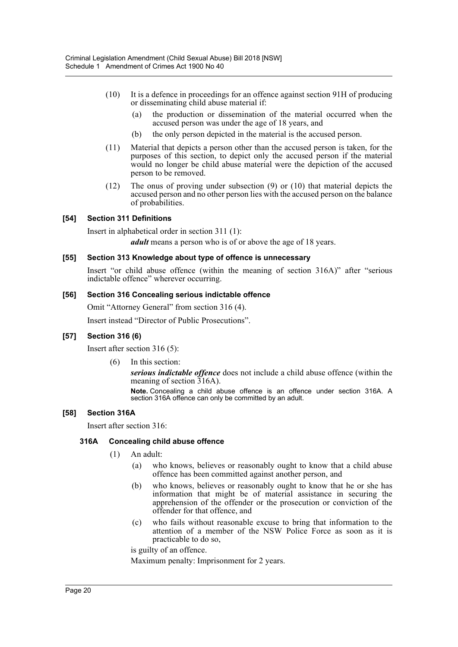- (10) It is a defence in proceedings for an offence against section 91H of producing or disseminating child abuse material if:
	- (a) the production or dissemination of the material occurred when the accused person was under the age of 18 years, and
	- (b) the only person depicted in the material is the accused person.
- (11) Material that depicts a person other than the accused person is taken, for the purposes of this section, to depict only the accused person if the material would no longer be child abuse material were the depiction of the accused person to be removed.
- (12) The onus of proving under subsection (9) or (10) that material depicts the accused person and no other person lies with the accused person on the balance of probabilities.

### **[54] Section 311 Definitions**

Insert in alphabetical order in section 311 (1):

*adult* means a person who is of or above the age of 18 years.

### **[55] Section 313 Knowledge about type of offence is unnecessary**

Insert "or child abuse offence (within the meaning of section 316A)" after "serious indictable offence" wherever occurring.

#### **[56] Section 316 Concealing serious indictable offence**

Omit "Attorney General" from section 316 (4).

Insert instead "Director of Public Prosecutions".

### **[57] Section 316 (6)**

Insert after section 316 (5):

(6) In this section:

*serious indictable offence* does not include a child abuse offence (within the meaning of section 316A).

**Note.** Concealing a child abuse offence is an offence under section 316A. A section 316A offence can only be committed by an adult.

### **[58] Section 316A**

Insert after section 316:

### **316A Concealing child abuse offence**

- (1) An adult:
	- (a) who knows, believes or reasonably ought to know that a child abuse offence has been committed against another person, and
	- (b) who knows, believes or reasonably ought to know that he or she has information that might be of material assistance in securing the apprehension of the offender or the prosecution or conviction of the offender for that offence, and
	- (c) who fails without reasonable excuse to bring that information to the attention of a member of the NSW Police Force as soon as it is practicable to do so,

is guilty of an offence.

Maximum penalty: Imprisonment for 2 years.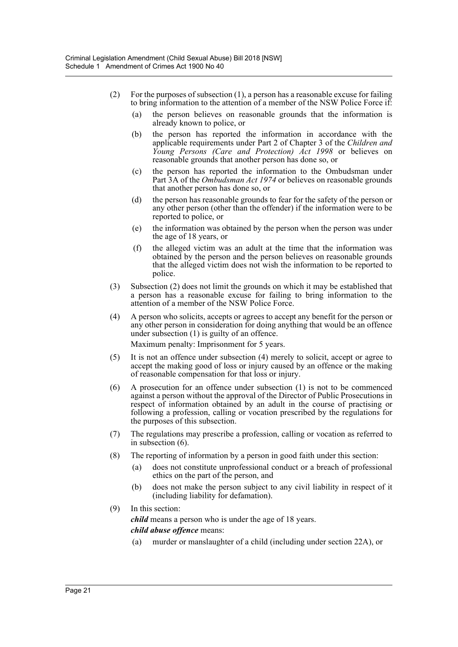- (2) For the purposes of subsection  $(1)$ , a person has a reasonable excuse for failing to bring information to the attention of a member of the NSW Police Force if:
	- (a) the person believes on reasonable grounds that the information is already known to police, or
	- (b) the person has reported the information in accordance with the applicable requirements under Part 2 of Chapter 3 of the *Children and Young Persons (Care and Protection) Act 1998* or believes on reasonable grounds that another person has done so, or
	- (c) the person has reported the information to the Ombudsman under Part 3A of the *Ombudsman Act 1974* or believes on reasonable grounds that another person has done so, or
	- (d) the person has reasonable grounds to fear for the safety of the person or any other person (other than the offender) if the information were to be reported to police, or
	- (e) the information was obtained by the person when the person was under the age of 18 years, or
	- (f) the alleged victim was an adult at the time that the information was obtained by the person and the person believes on reasonable grounds that the alleged victim does not wish the information to be reported to police.
- (3) Subsection (2) does not limit the grounds on which it may be established that a person has a reasonable excuse for failing to bring information to the attention of a member of the NSW Police Force.
- (4) A person who solicits, accepts or agrees to accept any benefit for the person or any other person in consideration for doing anything that would be an offence under subsection (1) is guilty of an offence.

Maximum penalty: Imprisonment for 5 years.

- (5) It is not an offence under subsection (4) merely to solicit, accept or agree to accept the making good of loss or injury caused by an offence or the making of reasonable compensation for that loss or injury.
- (6) A prosecution for an offence under subsection (1) is not to be commenced against a person without the approval of the Director of Public Prosecutions in respect of information obtained by an adult in the course of practising or following a profession, calling or vocation prescribed by the regulations for the purposes of this subsection.
- (7) The regulations may prescribe a profession, calling or vocation as referred to in subsection (6).
- (8) The reporting of information by a person in good faith under this section:
	- (a) does not constitute unprofessional conduct or a breach of professional ethics on the part of the person, and
	- (b) does not make the person subject to any civil liability in respect of it (including liability for defamation).
- (9) In this section:

*child* means a person who is under the age of 18 years.

### *child abuse offence* means:

(a) murder or manslaughter of a child (including under section 22A), or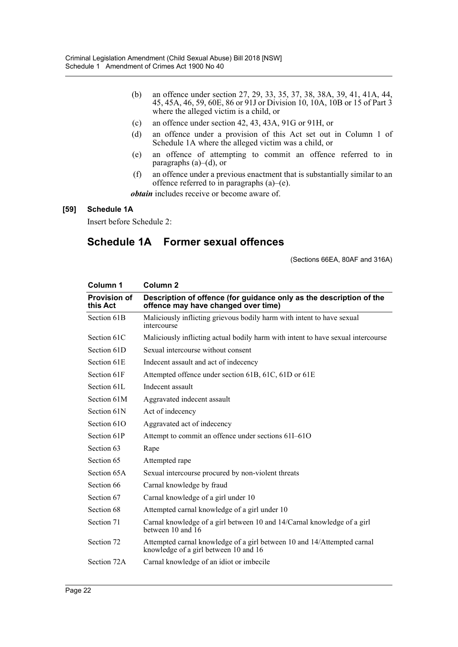- (b) an offence under section 27, 29, 33, 35, 37, 38, 38A, 39, 41, 41A, 44, 45, 45A, 46, 59, 60E, 86 or 91J or Division 10, 10A, 10B or 15 of Part 3 where the alleged victim is a child, or
- (c) an offence under section 42, 43, 43A, 91G or 91H, or
- (d) an offence under a provision of this Act set out in Column 1 of Schedule 1A where the alleged victim was a child, or
- (e) an offence of attempting to commit an offence referred to in paragraphs (a)–(d), or
- (f) an offence under a previous enactment that is substantially similar to an offence referred to in paragraphs  $(a)$ – $(e)$ .

*obtain* includes receive or become aware of.

### **[59] Schedule 1A**

Insert before Schedule 2:

# **Schedule 1A Former sexual offences**

(Sections 66EA, 80AF and 316A)

| Column 1                        | Column <sub>2</sub>                                                                                              |
|---------------------------------|------------------------------------------------------------------------------------------------------------------|
| <b>Provision of</b><br>this Act | Description of offence (for guidance only as the description of the<br>offence may have changed over time)       |
| Section 61B                     | Maliciously inflicting grievous bodily harm with intent to have sexual<br>intercourse                            |
| Section 61C                     | Maliciously inflicting actual bodily harm with intent to have sexual intercourse                                 |
| Section 61D                     | Sexual intercourse without consent                                                                               |
| Section 61E                     | Indecent assault and act of indecency                                                                            |
| Section 61F                     | Attempted offence under section 61B, 61C, 61D or 61E                                                             |
| Section 61L                     | Indecent assault                                                                                                 |
| Section 61M                     | Aggravated indecent assault                                                                                      |
| Section 61N                     | Act of indecency                                                                                                 |
| Section 61O                     | Aggravated act of indecency                                                                                      |
| Section 61P                     | Attempt to commit an offence under sections 61I-61O                                                              |
| Section 63                      | Rape                                                                                                             |
| Section 65                      | Attempted rape                                                                                                   |
| Section 65A                     | Sexual intercourse procured by non-violent threats                                                               |
| Section 66                      | Carnal knowledge by fraud                                                                                        |
| Section 67                      | Carnal knowledge of a girl under 10                                                                              |
| Section 68                      | Attempted carnal knowledge of a girl under 10                                                                    |
| Section 71                      | Carnal knowledge of a girl between 10 and 14/Carnal knowledge of a girl<br>between 10 and 16                     |
| Section 72                      | Attempted carnal knowledge of a girl between 10 and 14/Attempted carnal<br>knowledge of a girl between 10 and 16 |
| Section 72A                     | Carnal knowledge of an idiot or imbecile                                                                         |
|                                 |                                                                                                                  |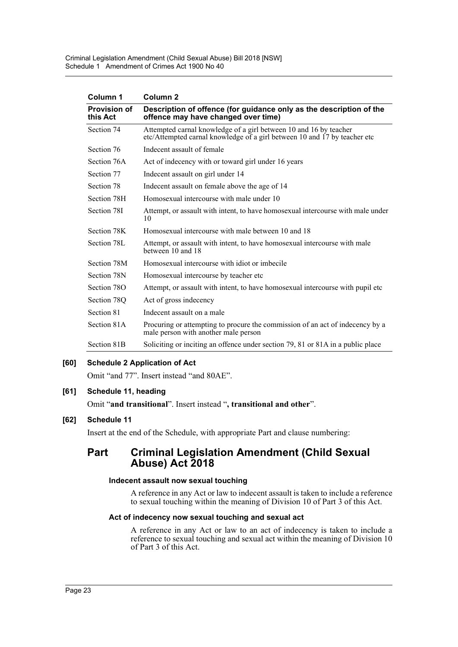| Column 1                        | Column <sub>2</sub>                                                                                                                            |
|---------------------------------|------------------------------------------------------------------------------------------------------------------------------------------------|
| <b>Provision of</b><br>this Act | Description of offence (for guidance only as the description of the<br>offence may have changed over time)                                     |
| Section 74                      | Attempted carnal knowledge of a girl between 10 and 16 by teacher<br>etc/Attempted carnal knowledge of a girl between 10 and 17 by teacher etc |
| Section 76                      | Indecent assault of female                                                                                                                     |
| Section 76A                     | Act of indecency with or toward girl under 16 years                                                                                            |
| Section 77                      | Indecent assault on girl under 14                                                                                                              |
| Section 78                      | Indecent assault on female above the age of 14                                                                                                 |
| Section 78H                     | Homosexual intercourse with male under 10                                                                                                      |
| Section 78I                     | Attempt, or assault with intent, to have homosexual intercourse with male under<br>10                                                          |
| Section 78K                     | Homosexual intercourse with male between 10 and 18                                                                                             |
| Section 78L                     | Attempt, or assault with intent, to have homosexual intercourse with male<br>between 10 and 18                                                 |
| Section 78M                     | Homosexual intercourse with idiot or imbecile                                                                                                  |
| Section 78N                     | Homosexual intercourse by teacher etc.                                                                                                         |
| Section 78O                     | Attempt, or assault with intent, to have homosexual intercourse with pupil etc                                                                 |
| Section 780                     | Act of gross indecency                                                                                                                         |
| Section 81                      | Indecent assault on a male                                                                                                                     |
| Section 81A                     | Procuring or attempting to procure the commission of an act of indecency by a<br>male person with another male person                          |
| Section 81B                     | Soliciting or inciting an offence under section 79, 81 or 81A in a public place                                                                |

# **[60] Schedule 2 Application of Act**

Omit "and 77". Insert instead "and 80AE".

### **[61] Schedule 11, heading**

Omit "**and transitional**". Insert instead "**, transitional and other**".

### **[62] Schedule 11**

Insert at the end of the Schedule, with appropriate Part and clause numbering:

# **Part Criminal Legislation Amendment (Child Sexual Abuse) Act 2018**

### **Indecent assault now sexual touching**

A reference in any Act or law to indecent assault is taken to include a reference to sexual touching within the meaning of Division 10 of Part 3 of this Act.

#### **Act of indecency now sexual touching and sexual act**

A reference in any Act or law to an act of indecency is taken to include a reference to sexual touching and sexual act within the meaning of Division 10 of Part 3 of this Act.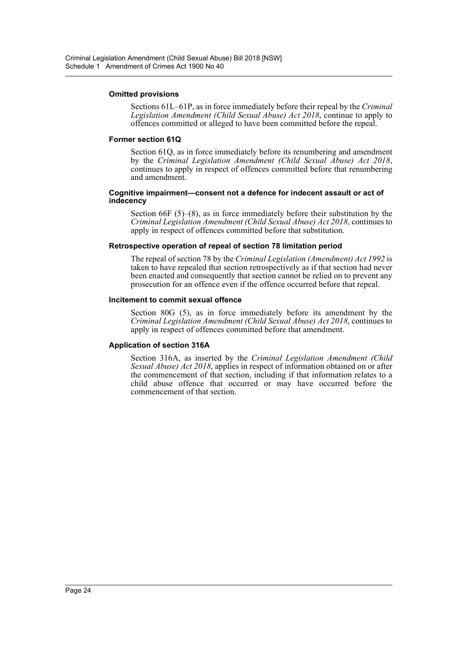#### **Omitted provisions**

Sections 61L–61P, as in force immediately before their repeal by the *Criminal Legislation Amendment (Child Sexual Abuse) Act 2018*, continue to apply to offences committed or alleged to have been committed before the repeal.

#### **Former section 61Q**

Section 61Q, as in force immediately before its renumbering and amendment by the *Criminal Legislation Amendment (Child Sexual Abuse) Act 2018*, continues to apply in respect of offences committed before that renumbering and amendment.

#### **Cognitive impairment—consent not a defence for indecent assault or act of indecency**

Section 66F (5)–(8), as in force immediately before their substitution by the *Criminal Legislation Amendment (Child Sexual Abuse) Act 2018*, continues to apply in respect of offences committed before that substitution.

### **Retrospective operation of repeal of section 78 limitation period**

The repeal of section 78 by the *Criminal Legislation (Amendment) Act 1992* is taken to have repealed that section retrospectively as if that section had never been enacted and consequently that section cannot be relied on to prevent any prosecution for an offence even if the offence occurred before that repeal.

#### **Incitement to commit sexual offence**

Section 80G (5), as in force immediately before its amendment by the *Criminal Legislation Amendment (Child Sexual Abuse) Act 2018*, continues to apply in respect of offences committed before that amendment.

### **Application of section 316A**

Section 316A, as inserted by the *Criminal Legislation Amendment (Child Sexual Abuse) Act 2018*, applies in respect of information obtained on or after the commencement of that section, including if that information relates to a child abuse offence that occurred or may have occurred before the commencement of that section.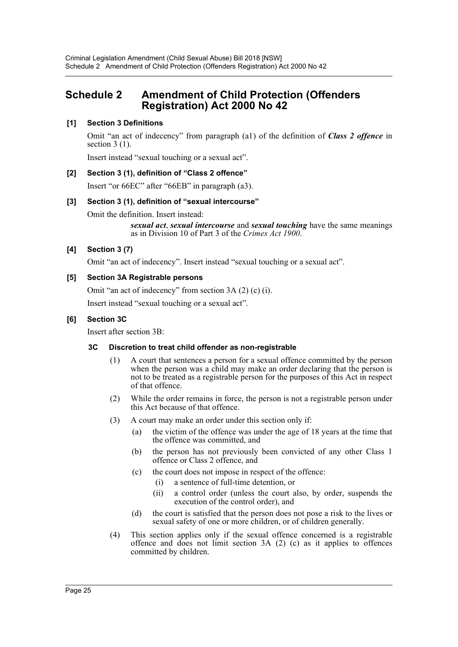# <span id="page-25-0"></span>**Schedule 2 Amendment of Child Protection (Offenders Registration) Act 2000 No 42**

# **[1] Section 3 Definitions**

Omit "an act of indecency" from paragraph (a1) of the definition of *Class 2 offence* in section  $3(1)$ .

Insert instead "sexual touching or a sexual act".

### **[2] Section 3 (1), definition of "Class 2 offence"**

Insert "or 66EC" after "66EB" in paragraph (a3).

### **[3] Section 3 (1), definition of "sexual intercourse"**

Omit the definition. Insert instead:

*sexual act*, *sexual intercourse* and *sexual touching* have the same meanings as in Division 10 of Part 3 of the *Crimes Act 1900*.

### **[4] Section 3 (7)**

Omit "an act of indecency". Insert instead "sexual touching or a sexual act".

#### **[5] Section 3A Registrable persons**

Omit "an act of indecency" from section 3A (2) (c) (i).

Insert instead "sexual touching or a sexual act".

#### **[6] Section 3C**

Insert after section 3B:

#### **3C Discretion to treat child offender as non-registrable**

- (1) A court that sentences a person for a sexual offence committed by the person when the person was a child may make an order declaring that the person is not to be treated as a registrable person for the purposes of this Act in respect of that offence.
- (2) While the order remains in force, the person is not a registrable person under this Act because of that offence.
- (3) A court may make an order under this section only if:
	- (a) the victim of the offence was under the age of 18 years at the time that the offence was committed, and
	- (b) the person has not previously been convicted of any other Class 1 offence or Class 2 offence, and
	- (c) the court does not impose in respect of the offence:
		- (i) a sentence of full-time detention, or
		- (ii) a control order (unless the court also, by order, suspends the execution of the control order), and
	- (d) the court is satisfied that the person does not pose a risk to the lives or sexual safety of one or more children, or of children generally.
- (4) This section applies only if the sexual offence concerned is a registrable offence and does not limit section 3A (2) (c) as it applies to offences committed by children.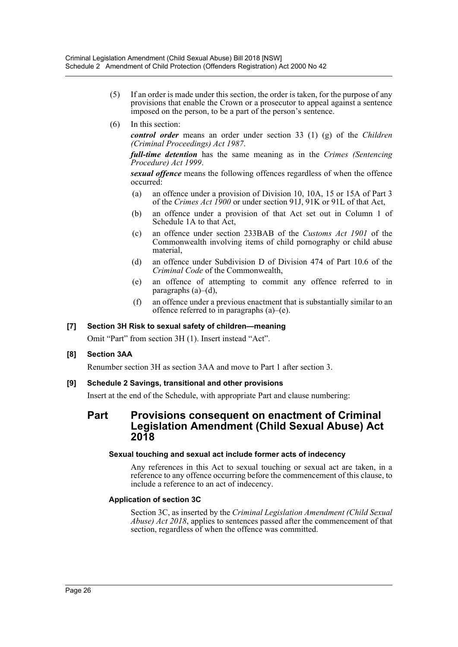- (5) If an order is made under this section, the order is taken, for the purpose of any provisions that enable the Crown or a prosecutor to appeal against a sentence imposed on the person, to be a part of the person's sentence.
- (6) In this section:

*control order* means an order under section 33 (1) (g) of the *Children (Criminal Proceedings) Act 1987*.

*full-time detention* has the same meaning as in the *Crimes (Sentencing Procedure) Act 1999*.

*sexual offence* means the following offences regardless of when the offence occurred:

- (a) an offence under a provision of Division 10, 10A, 15 or 15A of Part 3 of the *Crimes Act 1900* or under section 91J, 91K or 91L of that Act,
- (b) an offence under a provision of that Act set out in Column 1 of Schedule 1A to that Act,
- (c) an offence under section 233BAB of the *Customs Act 1901* of the Commonwealth involving items of child pornography or child abuse material,
- (d) an offence under Subdivision D of Division 474 of Part 10.6 of the *Criminal Code* of the Commonwealth,
- (e) an offence of attempting to commit any offence referred to in paragraphs  $(a)$ – $(d)$ ,
- (f) an offence under a previous enactment that is substantially similar to an offence referred to in paragraphs  $(a)$ – $(e)$ .

### **[7] Section 3H Risk to sexual safety of children—meaning**

Omit "Part" from section 3H (1). Insert instead "Act".

### **[8] Section 3AA**

Renumber section 3H as section 3AA and move to Part 1 after section 3.

### **[9] Schedule 2 Savings, transitional and other provisions**

Insert at the end of the Schedule, with appropriate Part and clause numbering:

# **Part Provisions consequent on enactment of Criminal Legislation Amendment (Child Sexual Abuse) Act 2018**

#### **Sexual touching and sexual act include former acts of indecency**

Any references in this Act to sexual touching or sexual act are taken, in a reference to any offence occurring before the commencement of this clause, to include a reference to an act of indecency.

### **Application of section 3C**

Section 3C, as inserted by the *Criminal Legislation Amendment (Child Sexual Abuse) Act 2018*, applies to sentences passed after the commencement of that section, regardless of when the offence was committed.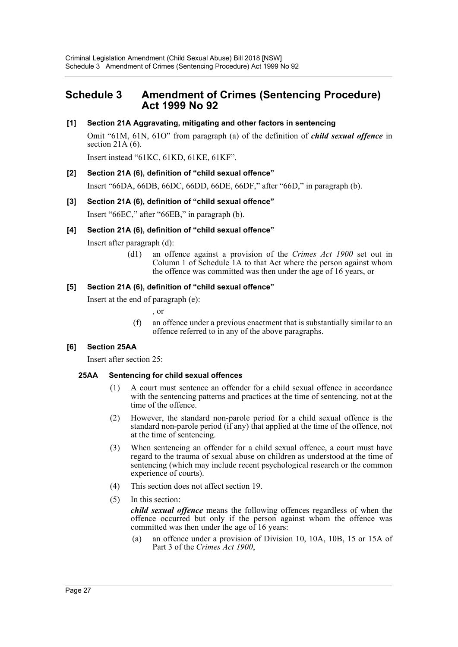# <span id="page-27-0"></span>**Schedule 3 Amendment of Crimes (Sentencing Procedure) Act 1999 No 92**

### **[1] Section 21A Aggravating, mitigating and other factors in sentencing**

Omit "61M, 61N, 61O" from paragraph (a) of the definition of *child sexual offence* in section  $21A(6)$ .

Insert instead "61KC, 61KD, 61KE, 61KF".

### **[2] Section 21A (6), definition of "child sexual offence"**

Insert "66DA, 66DB, 66DC, 66DD, 66DE, 66DF," after "66D," in paragraph (b).

### **[3] Section 21A (6), definition of "child sexual offence"**

Insert "66EC," after "66EB," in paragraph (b).

#### **[4] Section 21A (6), definition of "child sexual offence"**

Insert after paragraph (d):

(d1) an offence against a provision of the *Crimes Act 1900* set out in Column 1 of Schedule 1A to that Act where the person against whom the offence was committed was then under the age of 16 years, or

#### **[5] Section 21A (6), definition of "child sexual offence"**

Insert at the end of paragraph (e):

, or

(f) an offence under a previous enactment that is substantially similar to an offence referred to in any of the above paragraphs.

### **[6] Section 25AA**

Insert after section 25:

### **25AA Sentencing for child sexual offences**

- (1) A court must sentence an offender for a child sexual offence in accordance with the sentencing patterns and practices at the time of sentencing, not at the time of the offence.
- (2) However, the standard non-parole period for a child sexual offence is the standard non-parole period (if any) that applied at the time of the offence, not at the time of sentencing.
- (3) When sentencing an offender for a child sexual offence, a court must have regard to the trauma of sexual abuse on children as understood at the time of sentencing (which may include recent psychological research or the common experience of courts).
- (4) This section does not affect section 19.
- (5) In this section:

*child sexual offence* means the following offences regardless of when the offence occurred but only if the person against whom the offence was committed was then under the age of 16 years:

(a) an offence under a provision of Division 10, 10A, 10B, 15 or 15A of Part 3 of the *Crimes Act 1900*,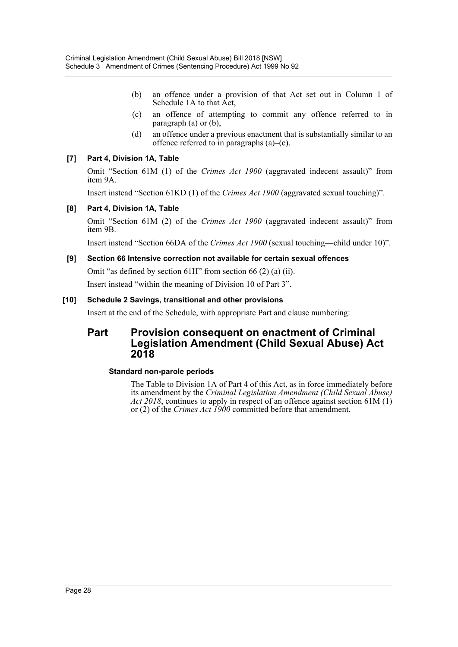- (b) an offence under a provision of that Act set out in Column 1 of Schedule 1A to that Act,
- (c) an offence of attempting to commit any offence referred to in paragraph (a) or (b),
- (d) an offence under a previous enactment that is substantially similar to an offence referred to in paragraphs  $(a)$ – $(c)$ .

### **[7] Part 4, Division 1A, Table**

Omit "Section 61M (1) of the *Crimes Act 1900* (aggravated indecent assault)" from item 9A.

Insert instead "Section 61KD (1) of the *Crimes Act 1900* (aggravated sexual touching)".

### **[8] Part 4, Division 1A, Table**

Omit "Section 61M (2) of the *Crimes Act 1900* (aggravated indecent assault)" from item 9B.

Insert instead "Section 66DA of the *Crimes Act 1900* (sexual touching—child under 10)".

### **[9] Section 66 Intensive correction not available for certain sexual offences**

Omit "as defined by section 61H" from section 66 (2) (a) (ii).

Insert instead "within the meaning of Division 10 of Part 3".

### **[10] Schedule 2 Savings, transitional and other provisions**

Insert at the end of the Schedule, with appropriate Part and clause numbering:

# **Part Provision consequent on enactment of Criminal Legislation Amendment (Child Sexual Abuse) Act 2018**

### **Standard non-parole periods**

The Table to Division 1A of Part 4 of this Act, as in force immediately before its amendment by the *Criminal Legislation Amendment (Child Sexual Abuse) Act 2018*, continues to apply in respect of an offence against section 61M (1) or (2) of the *Crimes Act 1900* committed before that amendment.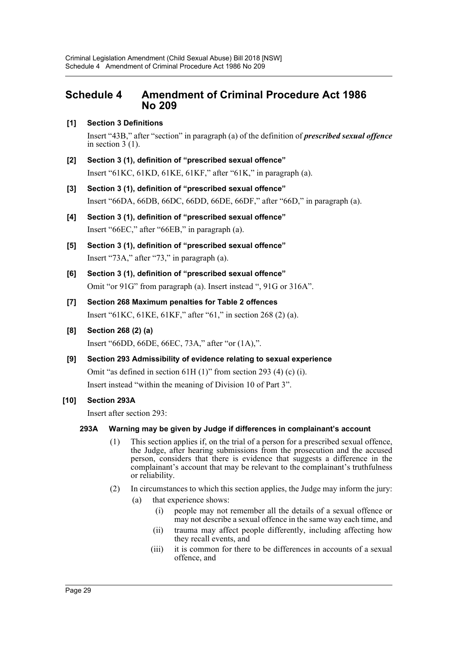# <span id="page-29-0"></span>**Schedule 4 Amendment of Criminal Procedure Act 1986 No 209**

# **[1] Section 3 Definitions**

Insert "43B," after "section" in paragraph (a) of the definition of *prescribed sexual offence* in section 3 (1).

- **[2] Section 3 (1), definition of "prescribed sexual offence"** Insert "61KC, 61KD, 61KE, 61KF," after "61K," in paragraph (a).
- **[3] Section 3 (1), definition of "prescribed sexual offence"** Insert "66DA, 66DB, 66DC, 66DD, 66DE, 66DF," after "66D," in paragraph (a).
- **[4] Section 3 (1), definition of "prescribed sexual offence"** Insert "66EC," after "66EB," in paragraph (a).
- **[5] Section 3 (1), definition of "prescribed sexual offence"** Insert "73A," after "73," in paragraph (a).
- **[6] Section 3 (1), definition of "prescribed sexual offence"** Omit "or 91G" from paragraph (a). Insert instead ", 91G or 316A".
- **[7] Section 268 Maximum penalties for Table 2 offences** Insert "61KC, 61KE, 61KF," after "61," in section 268 (2) (a).
- **[8] Section 268 (2) (a)**

Insert "66DD, 66DE, 66EC, 73A," after "or (1A),".

**[9] Section 293 Admissibility of evidence relating to sexual experience** Omit "as defined in section 61H (1)" from section 293 (4) (c) (i). Insert instead "within the meaning of Division 10 of Part 3".

# **[10] Section 293A**

Insert after section 293:

# **293A Warning may be given by Judge if differences in complainant's account**

- (1) This section applies if, on the trial of a person for a prescribed sexual offence, the Judge, after hearing submissions from the prosecution and the accused person, considers that there is evidence that suggests a difference in the complainant's account that may be relevant to the complainant's truthfulness or reliability.
- (2) In circumstances to which this section applies, the Judge may inform the jury:
	- (a) that experience shows:
		- (i) people may not remember all the details of a sexual offence or may not describe a sexual offence in the same way each time, and
		- (ii) trauma may affect people differently, including affecting how they recall events, and
		- (iii) it is common for there to be differences in accounts of a sexual offence, and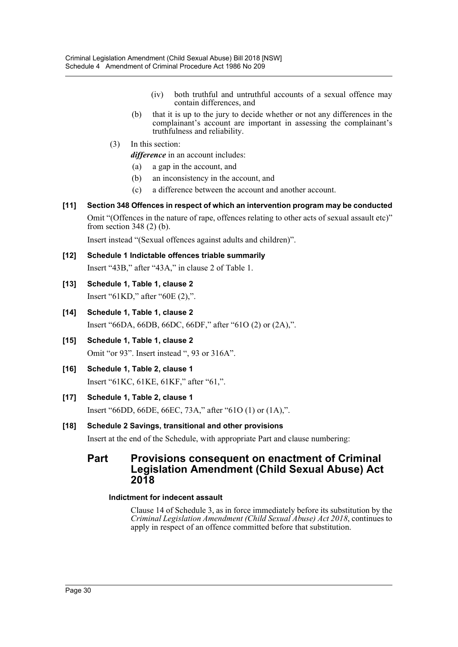- (iv) both truthful and untruthful accounts of a sexual offence may contain differences, and
- (b) that it is up to the jury to decide whether or not any differences in the complainant's account are important in assessing the complainant's truthfulness and reliability.
- (3) In this section:

*difference* in an account includes:

- (a) a gap in the account, and
- (b) an inconsistency in the account, and
- (c) a difference between the account and another account.
- **[11] Section 348 Offences in respect of which an intervention program may be conducted** Omit "(Offences in the nature of rape, offences relating to other acts of sexual assault etc)" from section 348 (2) (b).

Insert instead "(Sexual offences against adults and children)".

- **[12] Schedule 1 Indictable offences triable summarily** Insert "43B," after "43A," in clause 2 of Table 1.
- **[13] Schedule 1, Table 1, clause 2** Insert "61KD," after "60E (2),".
- **[14] Schedule 1, Table 1, clause 2** Insert "66DA, 66DB, 66DC, 66DF," after "61O (2) or (2A),".
- **[15] Schedule 1, Table 1, clause 2** Omit "or 93". Insert instead ", 93 or 316A".
- **[16] Schedule 1, Table 2, clause 1** Insert "61KC, 61KE, 61KF," after "61,".
- **[17] Schedule 1, Table 2, clause 1** Insert "66DD, 66DE, 66EC, 73A," after "61O (1) or (1A),".

# **[18] Schedule 2 Savings, transitional and other provisions**

Insert at the end of the Schedule, with appropriate Part and clause numbering:

# **Part Provisions consequent on enactment of Criminal Legislation Amendment (Child Sexual Abuse) Act 2018**

# **Indictment for indecent assault**

Clause 14 of Schedule 3, as in force immediately before its substitution by the *Criminal Legislation Amendment (Child Sexual Abuse) Act 2018*, continues to apply in respect of an offence committed before that substitution.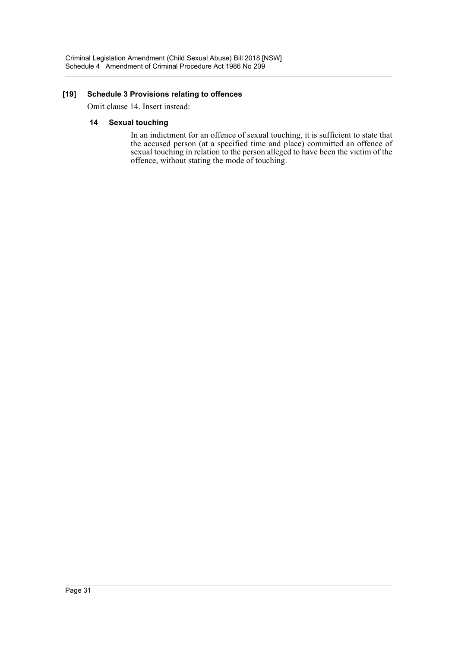### **[19] Schedule 3 Provisions relating to offences**

Omit clause 14. Insert instead:

### **14 Sexual touching**

In an indictment for an offence of sexual touching, it is sufficient to state that the accused person (at a specified time and place) committed an offence of sexual touching in relation to the person alleged to have been the victim of the offence, without stating the mode of touching.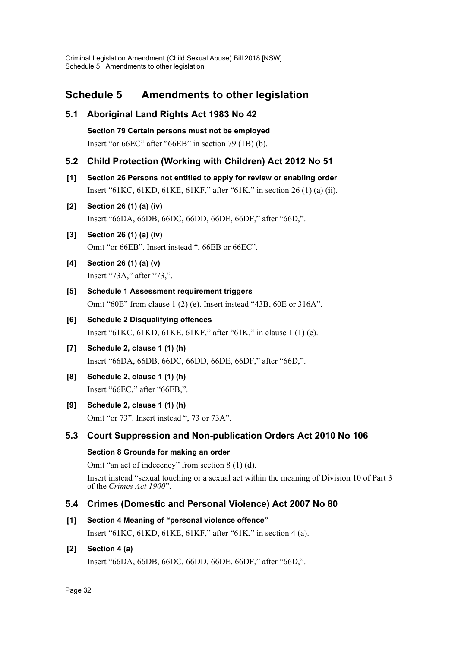# <span id="page-32-0"></span>**Schedule 5 Amendments to other legislation**

# **5.1 Aboriginal Land Rights Act 1983 No 42**

**Section 79 Certain persons must not be employed** Insert "or 66EC" after "66EB" in section 79 (1B) (b).

# **5.2 Child Protection (Working with Children) Act 2012 No 51**

**[1] Section 26 Persons not entitled to apply for review or enabling order** Insert "61KC, 61KD, 61KE, 61KF," after "61K," in section 26 (1) (a) (ii).

# **[2] Section 26 (1) (a) (iv)**

Insert "66DA, 66DB, 66DC, 66DD, 66DE, 66DF," after "66D,".

# **[3] Section 26 (1) (a) (iv)** Omit "or 66EB". Insert instead ", 66EB or 66EC".

- **[4] Section 26 (1) (a) (v)** Insert "73A," after "73,".
- **[5] Schedule 1 Assessment requirement triggers** Omit "60E" from clause 1 (2) (e). Insert instead "43B, 60E or 316A".
- **[6] Schedule 2 Disqualifying offences** Insert "61KC, 61KD, 61KE, 61KF," after "61K," in clause 1 (1) (e).
- **[7] Schedule 2, clause 1 (1) (h)** Insert "66DA, 66DB, 66DC, 66DD, 66DE, 66DF," after "66D,".
- **[8] Schedule 2, clause 1 (1) (h)** Insert "66EC," after "66EB,".

# **[9] Schedule 2, clause 1 (1) (h)** Omit "or 73". Insert instead ", 73 or 73A".

# **5.3 Court Suppression and Non-publication Orders Act 2010 No 106**

# **Section 8 Grounds for making an order**

Omit "an act of indecency" from section 8 (1) (d).

Insert instead "sexual touching or a sexual act within the meaning of Division 10 of Part 3 of the *Crimes Act 1900*".

# **5.4 Crimes (Domestic and Personal Violence) Act 2007 No 80**

# **[1] Section 4 Meaning of "personal violence offence"**

Insert "61KC, 61KD, 61KE, 61KF," after "61K," in section 4 (a).

# **[2] Section 4 (a)**

Insert "66DA, 66DB, 66DC, 66DD, 66DE, 66DF," after "66D,".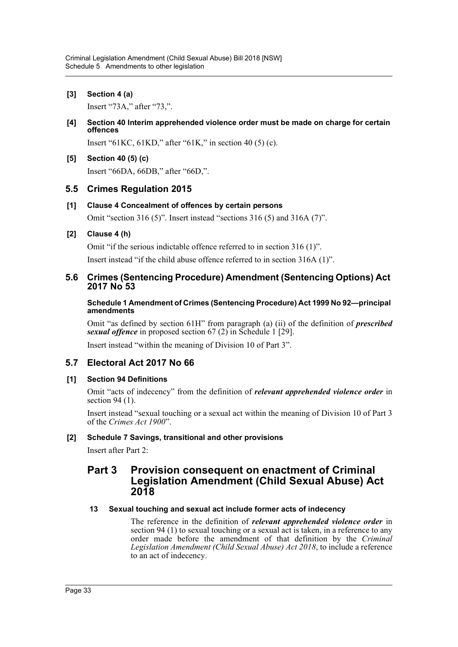**[3] Section 4 (a)**

Insert "73A," after "73,".

**[4] Section 40 Interim apprehended violence order must be made on charge for certain offences**

Insert "61KC, 61KD," after "61K," in section 40 (5) (c).

**[5] Section 40 (5) (c)** Insert "66DA, 66DB," after "66D,".

# **5.5 Crimes Regulation 2015**

# **[1] Clause 4 Concealment of offences by certain persons**

Omit "section 316 (5)". Insert instead "sections 316 (5) and 316A (7)".

# **[2] Clause 4 (h)**

Omit "if the serious indictable offence referred to in section 316 (1)". Insert instead "if the child abuse offence referred to in section 316A (1)".

# **5.6 Crimes (Sentencing Procedure) Amendment (Sentencing Options) Act 2017 No 53**

**Schedule 1 Amendment of Crimes (Sentencing Procedure) Act 1999 No 92—principal amendments**

Omit "as defined by section 61H" from paragraph (a) (ii) of the definition of *prescribed sexual offence* in proposed section 67 (2) in Schedule 1 [29].

Insert instead "within the meaning of Division 10 of Part 3".

# **5.7 Electoral Act 2017 No 66**

# **[1] Section 94 Definitions**

Omit "acts of indecency" from the definition of *relevant apprehended violence order* in section 94 (1).

Insert instead "sexual touching or a sexual act within the meaning of Division 10 of Part 3 of the *Crimes Act 1900*".

# **[2] Schedule 7 Savings, transitional and other provisions**

Insert after Part 2:

# **Part 3 Provision consequent on enactment of Criminal Legislation Amendment (Child Sexual Abuse) Act 2018**

# **13 Sexual touching and sexual act include former acts of indecency**

The reference in the definition of *relevant apprehended violence order* in section 94 (1) to sexual touching or a sexual act is taken, in a reference to any order made before the amendment of that definition by the *Criminal Legislation Amendment (Child Sexual Abuse) Act 2018*, to include a reference to an act of indecency.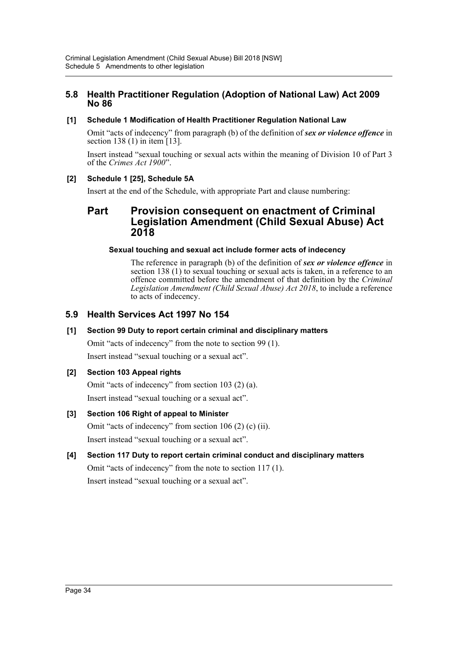# **5.8 Health Practitioner Regulation (Adoption of National Law) Act 2009 No 86**

# **[1] Schedule 1 Modification of Health Practitioner Regulation National Law**

Omit "acts of indecency" from paragraph (b) of the definition of *sex or violence offence* in section 138 (1) in item [13].

Insert instead "sexual touching or sexual acts within the meaning of Division 10 of Part 3 of the *Crimes Act 1900*".

# **[2] Schedule 1 [25], Schedule 5A**

Insert at the end of the Schedule, with appropriate Part and clause numbering:

# **Part Provision consequent on enactment of Criminal Legislation Amendment (Child Sexual Abuse) Act 2018**

# **Sexual touching and sexual act include former acts of indecency**

The reference in paragraph (b) of the definition of *sex or violence offence* in section 138 (1) to sexual touching or sexual acts is taken, in a reference to an offence committed before the amendment of that definition by the *Criminal Legislation Amendment (Child Sexual Abuse) Act 2018*, to include a reference to acts of indecency.

# **5.9 Health Services Act 1997 No 154**

# **[1] Section 99 Duty to report certain criminal and disciplinary matters**

Omit "acts of indecency" from the note to section 99 (1). Insert instead "sexual touching or a sexual act".

# **[2] Section 103 Appeal rights**

Omit "acts of indecency" from section 103 (2) (a). Insert instead "sexual touching or a sexual act".

# **[3] Section 106 Right of appeal to Minister**

Omit "acts of indecency" from section 106 (2) (c) (ii). Insert instead "sexual touching or a sexual act".

**[4] Section 117 Duty to report certain criminal conduct and disciplinary matters** Omit "acts of indecency" from the note to section 117 (1). Insert instead "sexual touching or a sexual act".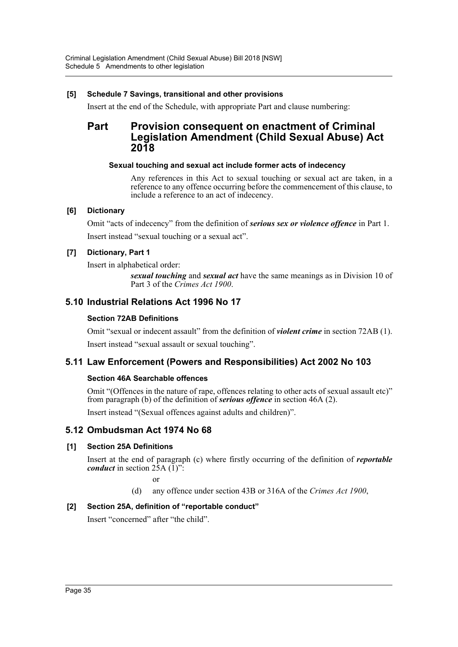### **[5] Schedule 7 Savings, transitional and other provisions**

Insert at the end of the Schedule, with appropriate Part and clause numbering:

# **Part Provision consequent on enactment of Criminal Legislation Amendment (Child Sexual Abuse) Act 2018**

### **Sexual touching and sexual act include former acts of indecency**

Any references in this Act to sexual touching or sexual act are taken, in a reference to any offence occurring before the commencement of this clause, to include a reference to an act of indecency.

### **[6] Dictionary**

Omit "acts of indecency" from the definition of *serious sex or violence offence* in Part 1. Insert instead "sexual touching or a sexual act".

# **[7] Dictionary, Part 1**

Insert in alphabetical order:

*sexual touching* and *sexual act* have the same meanings as in Division 10 of Part 3 of the *Crimes Act 1900*.

# **5.10 Industrial Relations Act 1996 No 17**

# **Section 72AB Definitions**

Omit "sexual or indecent assault" from the definition of *violent crime* in section 72AB (1).

Insert instead "sexual assault or sexual touching".

# **5.11 Law Enforcement (Powers and Responsibilities) Act 2002 No 103**

# **Section 46A Searchable offences**

Omit "(Offences in the nature of rape, offences relating to other acts of sexual assault etc)" from paragraph (b) of the definition of *serious offence* in section 46A (2).

Insert instead "(Sexual offences against adults and children)".

# **5.12 Ombudsman Act 1974 No 68**

# **[1] Section 25A Definitions**

Insert at the end of paragraph (c) where firstly occurring of the definition of *reportable conduct* in section  $2\overline{5}A(1)$ ":

or

(d) any offence under section 43B or 316A of the *Crimes Act 1900*,

# **[2] Section 25A, definition of "reportable conduct"**

Insert "concerned" after "the child".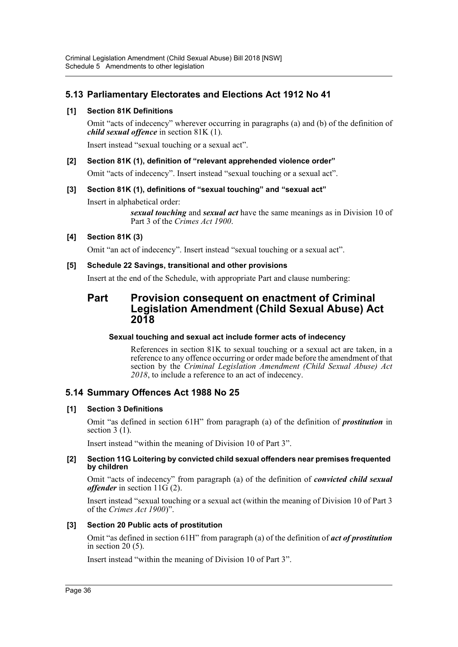# **5.13 Parliamentary Electorates and Elections Act 1912 No 41**

# **[1] Section 81K Definitions**

Omit "acts of indecency" wherever occurring in paragraphs (a) and (b) of the definition of *child sexual offence* in section 81K (1).

Insert instead "sexual touching or a sexual act".

# **[2] Section 81K (1), definition of "relevant apprehended violence order"**

Omit "acts of indecency". Insert instead "sexual touching or a sexual act".

# **[3] Section 81K (1), definitions of "sexual touching" and "sexual act"**

Insert in alphabetical order:

*sexual touching* and *sexual act* have the same meanings as in Division 10 of Part 3 of the *Crimes Act 1900*.

# **[4] Section 81K (3)**

Omit "an act of indecency". Insert instead "sexual touching or a sexual act".

### **[5] Schedule 22 Savings, transitional and other provisions**

Insert at the end of the Schedule, with appropriate Part and clause numbering:

# **Part Provision consequent on enactment of Criminal Legislation Amendment (Child Sexual Abuse) Act 2018**

### **Sexual touching and sexual act include former acts of indecency**

References in section 81K to sexual touching or a sexual act are taken, in a reference to any offence occurring or order made before the amendment of that section by the *Criminal Legislation Amendment (Child Sexual Abuse) Act 2018*, to include a reference to an act of indecency.

# **5.14 Summary Offences Act 1988 No 25**

# **[1] Section 3 Definitions**

Omit "as defined in section 61H" from paragraph (a) of the definition of *prostitution* in section 3 (1).

Insert instead "within the meaning of Division 10 of Part 3".

### **[2] Section 11G Loitering by convicted child sexual offenders near premises frequented by children**

Omit "acts of indecency" from paragraph (a) of the definition of *convicted child sexual offender* in section 11G (2).

Insert instead "sexual touching or a sexual act (within the meaning of Division 10 of Part 3 of the *Crimes Act 1900*)".

# **[3] Section 20 Public acts of prostitution**

Omit "as defined in section 61H" from paragraph (a) of the definition of *act of prostitution* in section 20 (5).

Insert instead "within the meaning of Division 10 of Part 3".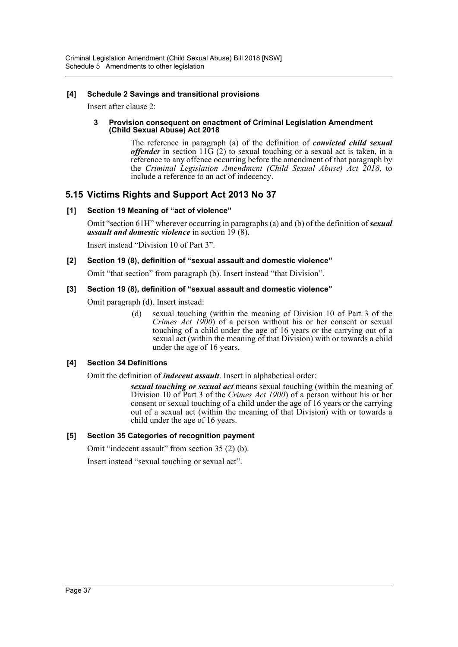### **[4] Schedule 2 Savings and transitional provisions**

Insert after clause 2:

#### **3 Provision consequent on enactment of Criminal Legislation Amendment (Child Sexual Abuse) Act 2018**

The reference in paragraph (a) of the definition of *convicted child sexual offender* in section 11G (2) to sexual touching or a sexual act is taken, in a reference to any offence occurring before the amendment of that paragraph by the *Criminal Legislation Amendment (Child Sexual Abuse) Act 2018*, to include a reference to an act of indecency.

# **5.15 Victims Rights and Support Act 2013 No 37**

# **[1] Section 19 Meaning of "act of violence"**

Omit "section 61H" wherever occurring in paragraphs (a) and (b) of the definition of *sexual assault and domestic violence* in section 19 (8).

Insert instead "Division 10 of Part 3".

# **[2] Section 19 (8), definition of "sexual assault and domestic violence"**

Omit "that section" from paragraph (b). Insert instead "that Division".

# **[3] Section 19 (8), definition of "sexual assault and domestic violence"**

Omit paragraph (d). Insert instead:

(d) sexual touching (within the meaning of Division 10 of Part 3 of the *Crimes Act 1900*) of a person without his or her consent or sexual touching of a child under the age of 16 years or the carrying out of a sexual act (within the meaning of that Division) with or towards a child under the age of 16 years,

# **[4] Section 34 Definitions**

Omit the definition of *indecent assault*. Insert in alphabetical order:

*sexual touching or sexual act* means sexual touching (within the meaning of Division 10 of Part 3 of the *Crimes Act 1900*) of a person without his or her consent or sexual touching of a child under the age of 16 years or the carrying out of a sexual act (within the meaning of that Division) with or towards a child under the age of 16 years.

# **[5] Section 35 Categories of recognition payment**

Omit "indecent assault" from section 35 (2) (b).

Insert instead "sexual touching or sexual act".